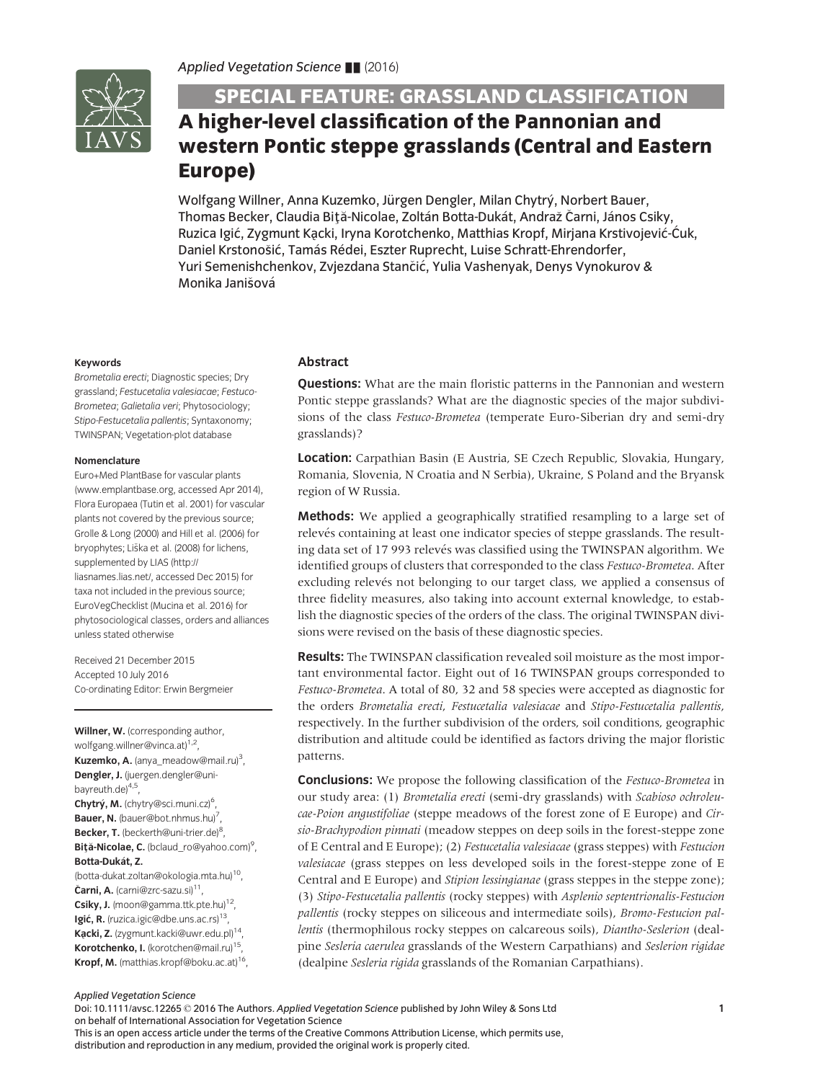

# SPECIAL FEATURE: GRASSLAND CLASSIFICATION A higher-level classification of the Pannonian and western Pontic steppe grasslands (Central and Eastern Europe)

Wolfgang Willner, Anna Kuzemko, Jürgen Dengler, Milan Chytrý, Norbert Bauer, Thomas Becker, Claudia Biţă-Nicolae, Zoltán Botta-Dukát, Andraž Čarni, János Csiky, Ruzica Igić, Zygmunt Kacki, Iryna Korotchenko, Matthias Kropf, Mirjana Krstivojević-Ćuk,<br>-Daniel Krstonošić, Tamás Rédei, Eszter Ruprecht, Luise Schratt-Ehrendorfer, Yuri Semenishchenkov, Zvjezdana Stančić, Yulia Vashenyak, Denys Vynokurov & Monika Janišová

# Keywords

Brometalia erecti; Diagnostic species; Dry grassland; Festucetalia valesiacae; Festuco-Brometea; Galietalia veri; Phytosociology; Stipo-Festucetalia pallentis; Syntaxonomy; TWINSPAN; Vegetation-plot database

#### Nomenclature

Euro+Med PlantBase for vascular plants ([www.emplantbase.org](http://www.emplantbase.org), accessed Apr 2014), Flora Europaea (Tutin et al. 2001) for vascular plants not covered by the previous source; Grolle & Long (2000) and Hill et al. (2006) for bryophytes; Liska et al. (2008) for lichens, supplemented by LIAS [\(http://](http://liasnames.lias.net/) [liasnames.lias.net/](http://liasnames.lias.net/), accessed Dec 2015) for taxa not included in the previous source; EuroVegChecklist (Mucina et al. 2016) for phytosociological classes, orders and alliances unless stated otherwise

Received 21 December 2015 Accepted 10 July 2016 Co-ordinating Editor: Erwin Bergmeier

Willner, W. (corresponding author, wolfgang.willner@vinca.at)<sup>1,2</sup>, Kuzemko, A. (anya\_meadow@mail.ru)<sup>3</sup>, Dengler, J. (juergen.dengler@unibayreuth.de $4,5$ , Chytrý, M. (chytry@sci.muni.cz)<sup>6</sup>, Bauer, N. (bauer@bot.nhmus.hu)<sup>7</sup>, Becker, T. (beckerth@uni-trier.de)<sup>8</sup>, Biță-Nicolae, C. (bclaud\_ro@yahoo.com)<sup>9</sup>, Botta-Dukát, Z. (botta-dukat.zoltan@okologia.mta.hu)10, Čarni, A. (carni@zrc-sazu.si)<sup>11</sup>, Csiky, J. (moon@gamma.ttk.pte.hu)<sup>12</sup>, Igić, R. (ruzica.igic@dbe.uns.ac.rs)<sup>13</sup>, Kacki, Z. (zygmunt.kacki@uwr.edu.pl)<sup>14</sup>, Korotchenko, I. (korotchen@mail.ru)<sup>15</sup>, Kropf, M. (matthias.kropf@boku.ac.at)<sup>16</sup>,

# Abstract

**Questions:** What are the main floristic patterns in the Pannonian and western Pontic steppe grasslands? What are the diagnostic species of the major subdivisions of the class Festuco-Brometea (temperate Euro-Siberian dry and semi-dry grasslands)?

Location: Carpathian Basin (E Austria, SE Czech Republic, Slovakia, Hungary, Romania, Slovenia, N Croatia and N Serbia), Ukraine, S Poland and the Bryansk region of W Russia.

Methods: We applied a geographically stratified resampling to a large set of relevés containing at least one indicator species of steppe grasslands. The resulting data set of 17 993 relevés was classified using the TWINSPAN algorithm. We identified groups of clusters that corresponded to the class Festuco-Brometea. After excluding relevés not belonging to our target class, we applied a consensus of three fidelity measures, also taking into account external knowledge, to establish the diagnostic species of the orders of the class. The original TWINSPAN divisions were revised on the basis of these diagnostic species.

**Results:** The TWINSPAN classification revealed soil moisture as the most important environmental factor. Eight out of 16 TWINSPAN groups corresponded to Festuco-Brometea. A total of 80, 32 and 58 species were accepted as diagnostic for the orders Brometalia erecti, Festucetalia valesiacae and Stipo-Festucetalia pallentis, respectively. In the further subdivision of the orders, soil conditions, geographic distribution and altitude could be identified as factors driving the major floristic patterns.

**Conclusions:** We propose the following classification of the Festuco-Brometea in our study area: (1) Brometalia erecti (semi-dry grasslands) with Scabioso ochroleucae-Poion angustifoliae (steppe meadows of the forest zone of E Europe) and Cirsio-Brachypodion pinnati (meadow steppes on deep soils in the forest-steppe zone of E Central and E Europe); (2) Festucetalia valesiacae (grass steppes) with Festucion valesiacae (grass steppes on less developed soils in the forest-steppe zone of E Central and E Europe) and Stipion lessingianae (grass steppes in the steppe zone); (3) Stipo-Festucetalia pallentis (rocky steppes) with Asplenio septentrionalis-Festucion pallentis (rocky steppes on siliceous and intermediate soils), Bromo-Festucion pallentis (thermophilous rocky steppes on calcareous soils), Diantho-Seslerion (dealpine Sesleria caerulea grasslands of the Western Carpathians) and Seslerion rigidae (dealpine Sesleria rigida grasslands of the Romanian Carpathians).

Applied Vegetation Science

Doi: 10.1111/avsc.12265 © 2016 The Authors. Applied Vegetation Science published by John Wiley & Sons Ltd on behalf of International Association for Vegetation Science This is an open access article under the terms of the [Creative Commons Attribution](http://creativecommons.org/licenses/by/4.0/) License, which permits use, distribution and reproduction in any medium, provided the original work is properly cited.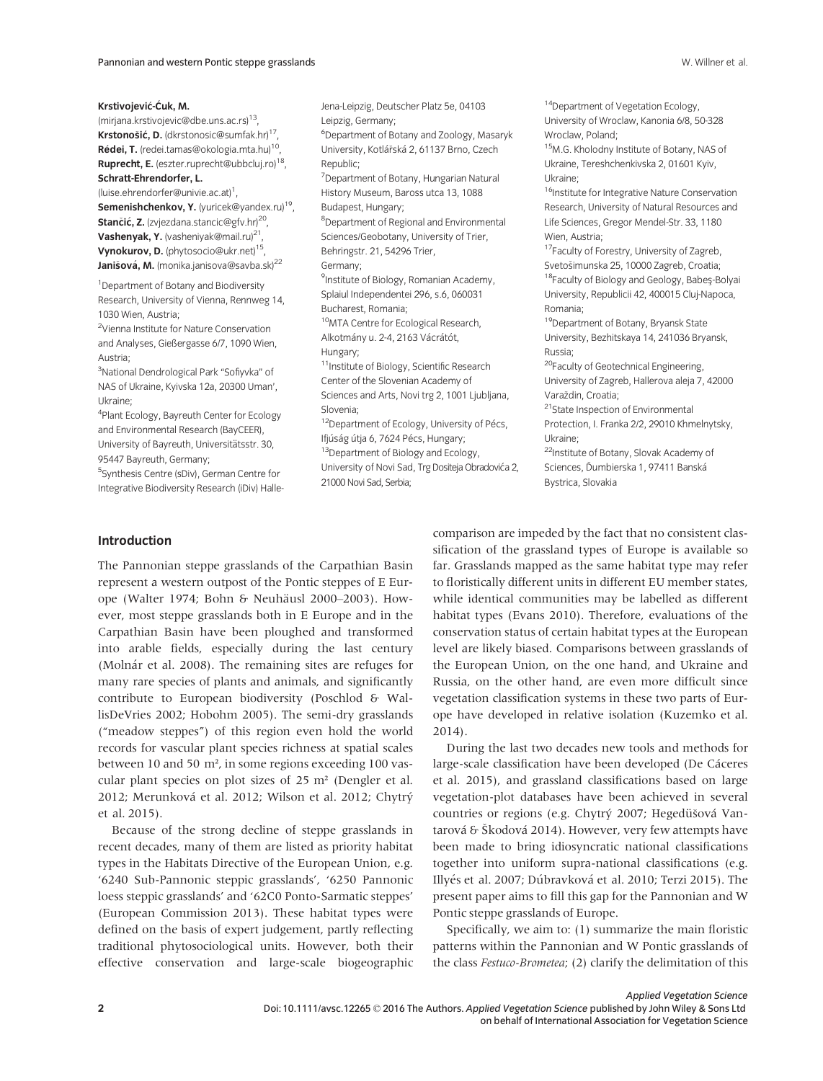Krstivojević-Ćuk, M.

(mirjana.krstivojevic@dbe.uns.ac.rs)13, Krstonošić, D. (dkrstonosic@sumfak.hr)<sup>17</sup>, Rédei, T. (redei.tamas@okologia.mta.hu)<sup>10</sup>, Ruprecht, E. (eszter.ruprecht@ubbcluj.ro)<sup>18</sup>, Schratt-Ehrendorfer, L. (luise.ehrendorfer@univie.ac.at)<sup>1</sup>,

Semenishchenkov, Y. (yuricek@yandex.ru)<sup>19</sup>, Stančić, Z. (zvjezdana.stancic@gfv.hr)<sup>20</sup>, Vashenyak, Y. (vasheniyak@mail.ru)<sup>21</sup>, Vynokurov, D. (phytosocio@ukr.net)15, **Janišová, M.** (monika.janisova@savba.sk)<sup>22</sup>

1 Department of Botany and Biodiversity Research, University of Vienna, Rennweg 14, 1030 Wien, Austria;

2 Vienna Institute for Nature Conservation and Analyses, Gießergasse 6/7, 1090 Wien, Austria;

<sup>3</sup>National Dendrological Park "Sofiyvka" of NAS of Ukraine, Kyivska 12a, 20300 Uman', Ukraine;

4 Plant Ecology, Bayreuth Center for Ecology and Environmental Research (BayCEER), University of Bayreuth, Universitätsstr. 30, 95447 Bayreuth, Germany;

5 Synthesis Centre (sDiv), German Centre for Integrative Biodiversity Research (iDiv) HalleJena-Leipzig, Deutscher Platz 5e, 04103 Leipzig, Germany; 6 Department of Botany and Zoology, Masaryk

University, Kotlářská 2, 61137 Brno, Czech Republic;

7 Department of Botany, Hungarian Natural History Museum, Baross utca 13, 1088 Budapest, Hungary;

8 Department of Regional and Environmental Sciences/Geobotany, University of Trier, Behringstr. 21, 54296 Trier,

Germany;

<sup>9</sup>Institute of Biology, Romanian Academy, Splaiul Independentei 296, s.6, 060031 Bucharest, Romania;

10MTA Centre for Ecological Research, Alkotmány u. 2-4, 2163 Vácrátót, Hungary;

<sup>11</sup>Institute of Biology, Scientific Research Center of the Slovenian Academy of Sciences and Arts, Novi trg 2, 1001 Ljubljana,

Slovenia;

<sup>12</sup>Department of Ecology, University of Pécs, Ifjúság útja 6, 7624 Pécs, Hungary; <sup>13</sup>Department of Biology and Ecology,

University of Novi Sad, Trg Dositeja Obradovića 2, 21000 Novi Sad, Serbia;

<sup>14</sup>Department of Vegetation Ecology, University of Wroclaw, Kanonia 6/8, 50-328 Wroclaw, Poland;

<sup>15</sup>M.G. Kholodny Institute of Botany, NAS of Ukraine, Tereshchenkivska 2, 01601 Kyiv, Ukraine;

<sup>16</sup>Institute for Integrative Nature Conservation Research, University of Natural Resources and Life Sciences, Gregor Mendel-Str. 33, 1180 Wien, Austria;

17Faculty of Forestry, University of Zagreb, Svetosimunska 25, 10000 Zagreb, Croatia; 18Faculty of Biology and Geology, Babeş-Bolyai University, Republicii 42, 400015 Cluj-Napoca, Romania;

19Department of Botany, Bryansk State University, Bezhitskaya 14, 241036 Bryansk, Russia;

20Faculty of Geotechnical Engineering, University of Zagreb, Hallerova aleja 7, 42000 Varaždin, Croatia;

<sup>21</sup>State Inspection of Environmental Protection, I. Franka 2/2, 29010 Khmelnytsky,

Ukraine;

22Institute of Botany, Slovak Academy of Sciences, Ďumbierska 1, 97411 Banská Bystrica, Slovakia

#### Introduction

The Pannonian steppe grasslands of the Carpathian Basin represent a western outpost of the Pontic steppes of E Europe (Walter 1974; Bohn & Neuhäusl 2000–2003). However, most steppe grasslands both in E Europe and in the Carpathian Basin have been ploughed and transformed into arable fields, especially during the last century (Molnár et al. 2008). The remaining sites are refuges for many rare species of plants and animals, and significantly contribute to European biodiversity (Poschlod & WallisDeVries 2002; Hobohm 2005). The semi-dry grasslands ("meadow steppes") of this region even hold the world records for vascular plant species richness at spatial scales between 10 and 50 m², in some regions exceeding 100 vascular plant species on plot sizes of 25 m² (Dengler et al. 2012; Merunková et al. 2012; Wilson et al. 2012; Chytrý et al. 2015).

Because of the strong decline of steppe grasslands in recent decades, many of them are listed as priority habitat types in the Habitats Directive of the European Union, e.g. '6240 Sub-Pannonic steppic grasslands', '6250 Pannonic loess steppic grasslands' and '62C0 Ponto-Sarmatic steppes' (European Commission 2013). These habitat types were defined on the basis of expert judgement, partly reflecting traditional phytosociological units. However, both their effective conservation and large-scale biogeographic comparison are impeded by the fact that no consistent classification of the grassland types of Europe is available so far. Grasslands mapped as the same habitat type may refer to floristically different units in different EU member states, while identical communities may be labelled as different habitat types (Evans 2010). Therefore, evaluations of the conservation status of certain habitat types at the European level are likely biased. Comparisons between grasslands of the European Union, on the one hand, and Ukraine and Russia, on the other hand, are even more difficult since vegetation classification systems in these two parts of Europe have developed in relative isolation (Kuzemko et al. 2014).

During the last two decades new tools and methods for large-scale classification have been developed (De Cáceres et al. 2015), and grassland classifications based on large vegetation-plot databases have been achieved in several countries or regions (e.g. Chytrý 2007; Hegedüšová Vantarová & Škodová 2014). However, very few attempts have been made to bring idiosyncratic national classifications together into uniform supra-national classifications (e.g. Illyés et al. 2007; Dúbravková et al. 2010; Terzi 2015). The present paper aims to fill this gap for the Pannonian and W Pontic steppe grasslands of Europe.

Specifically, we aim to: (1) summarize the main floristic patterns within the Pannonian and W Pontic grasslands of the class Festuco-Brometea; (2) clarify the delimitation of this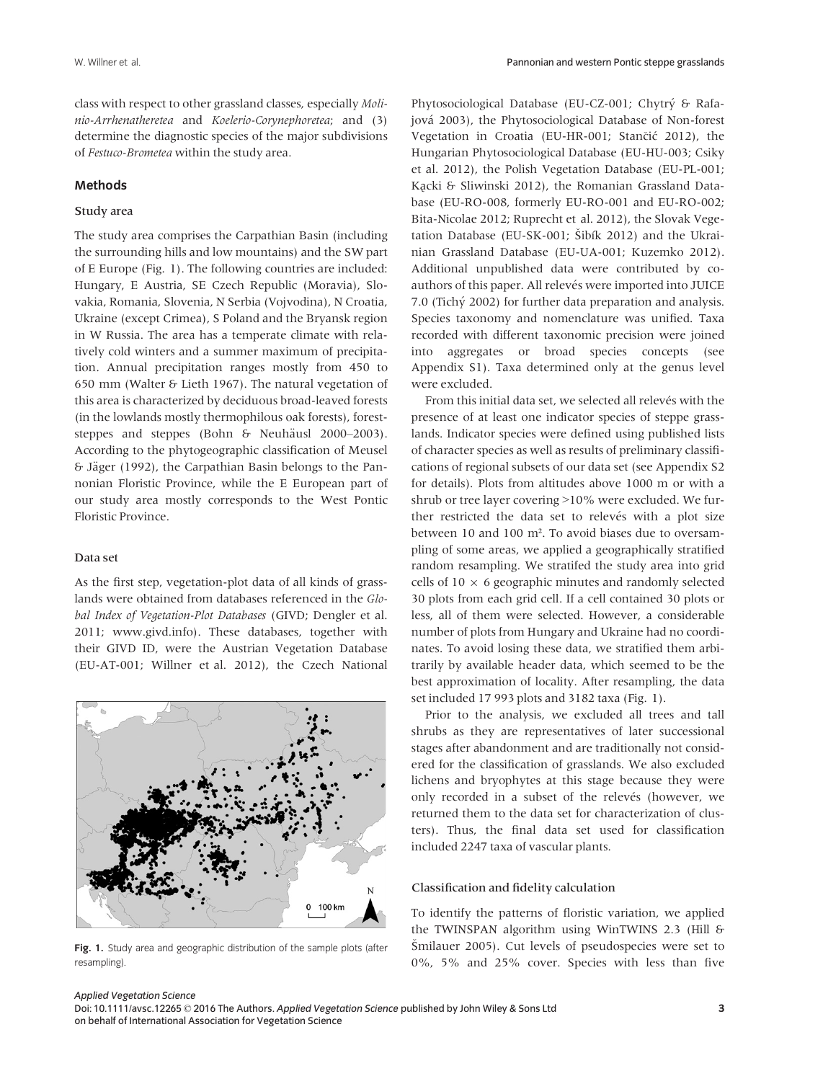class with respect to other grassland classes, especially Molinio-Arrhenatheretea and Koelerio-Corynephoretea; and (3) determine the diagnostic species of the major subdivisions of Festuco-Brometea within the study area.

## Methods

#### Study area

The study area comprises the Carpathian Basin (including the surrounding hills and low mountains) and the SW part of E Europe (Fig. 1). The following countries are included: Hungary, E Austria, SE Czech Republic (Moravia), Slovakia, Romania, Slovenia, N Serbia (Vojvodina), N Croatia, Ukraine (except Crimea), S Poland and the Bryansk region in W Russia. The area has a temperate climate with relatively cold winters and a summer maximum of precipitation. Annual precipitation ranges mostly from 450 to 650 mm (Walter & Lieth 1967). The natural vegetation of this area is characterized by deciduous broad-leaved forests (in the lowlands mostly thermophilous oak forests), foreststeppes and steppes (Bohn & Neuhäusl 2000–2003). According to the phytogeographic classification of Meusel  $\delta$  Jäger (1992), the Carpathian Basin belongs to the Pannonian Floristic Province, while the E European part of our study area mostly corresponds to the West Pontic Floristic Province.

#### Data set

As the first step, vegetation-plot data of all kinds of grasslands were obtained from databases referenced in the Global Index of Vegetation-Plot Databases (GIVD; Dengler et al. 2011; [www.givd.info\)](http://www.givd.info). These databases, together with their GIVD ID, were the Austrian Vegetation Database (EU-AT-001; Willner et al. 2012), the Czech National



Fig. 1. Study area and geographic distribution of the sample plots (after resampling).

Phytosociological Database (EU-CZ-001; Chytrý & Rafajová 2003), the Phytosociological Database of Non-forest Vegetation in Croatia (EU-HR-001; Stančić 2012), the Hungarian Phytosociological Database (EU-HU-003; Csiky et al. 2012), the Polish Vegetation Database (EU-PL-001; Kącki & Sliwinski 2012), the Romanian Grassland Database (EU-RO-008, formerly EU-RO-001 and EU-RO-002; Bita-Nicolae 2012; Ruprecht et al. 2012), the Slovak Vegetation Database (EU-SK-001; Šibík 2012) and the Ukrainian Grassland Database (EU-UA-001; Kuzemko 2012). Additional unpublished data were contributed by coauthors of this paper. All relevés were imported into JUICE 7.0 (Tichý 2002) for further data preparation and analysis. Species taxonomy and nomenclature was unified. Taxa recorded with different taxonomic precision were joined into aggregates or broad species concepts (see Appendix S1). Taxa determined only at the genus level were excluded.

From this initial data set, we selected all relevés with the presence of at least one indicator species of steppe grasslands. Indicator species were defined using published lists of character species as well as results of preliminary classifications of regional subsets of our data set (see Appendix S2 for details). Plots from altitudes above 1000 m or with a shrub or tree layer covering >10% were excluded. We further restricted the data set to relevés with a plot size between 10 and 100 m². To avoid biases due to oversampling of some areas, we applied a geographically stratified random resampling. We stratifed the study area into grid cells of  $10 \times 6$  geographic minutes and randomly selected 30 plots from each grid cell. If a cell contained 30 plots or less, all of them were selected. However, a considerable number of plots from Hungary and Ukraine had no coordinates. To avoid losing these data, we stratified them arbitrarily by available header data, which seemed to be the best approximation of locality. After resampling, the data set included 17 993 plots and 3182 taxa (Fig. 1).

Prior to the analysis, we excluded all trees and tall shrubs as they are representatives of later successional stages after abandonment and are traditionally not considered for the classification of grasslands. We also excluded lichens and bryophytes at this stage because they were only recorded in a subset of the relevés (however, we returned them to the data set for characterization of clusters). Thus, the final data set used for classification included 2247 taxa of vascular plants.

#### Classification and fidelity calculation

To identify the patterns of floristic variation, we applied the TWINSPAN algorithm using WinTWINS 2.3 (Hill & Smilauer 2005). Cut levels of pseudospecies were set to 0%, 5% and 25% cover. Species with less than five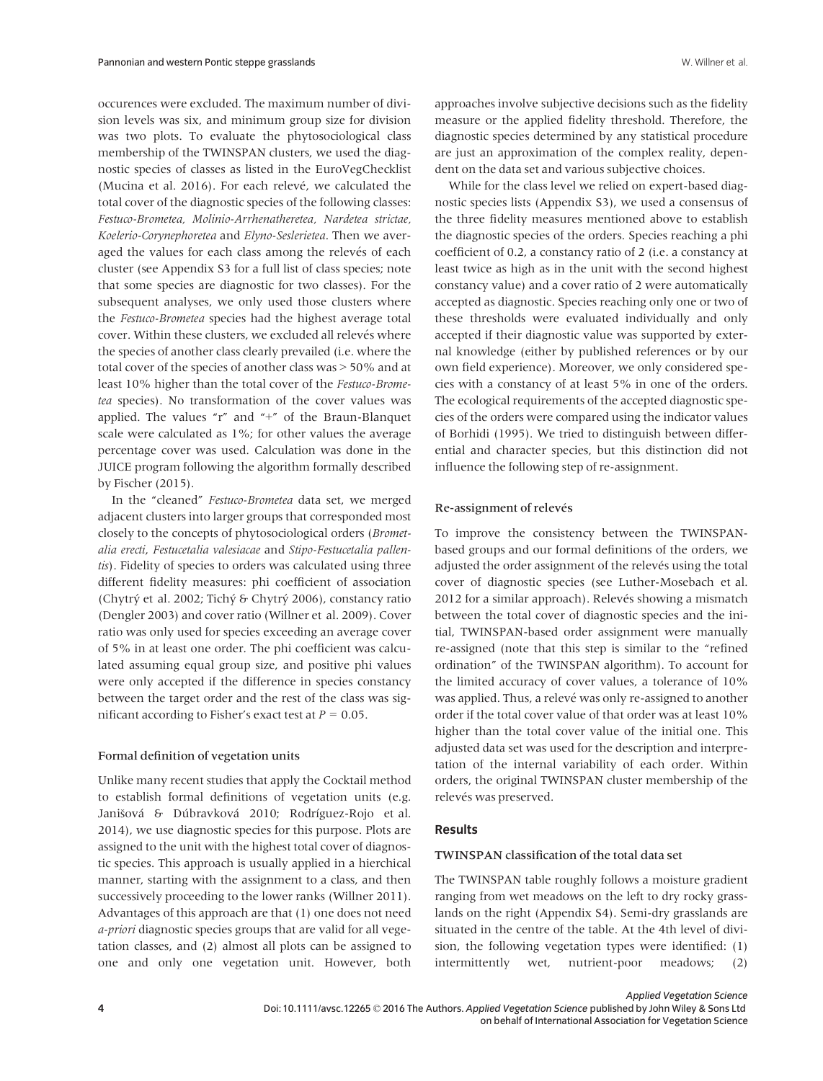occurences were excluded. The maximum number of division levels was six, and minimum group size for division was two plots. To evaluate the phytosociological class membership of the TWINSPAN clusters, we used the diagnostic species of classes as listed in the EuroVegChecklist (Mucina et al. 2016). For each relevé, we calculated the total cover of the diagnostic species of the following classes: Festuco-Brometea, Molinio-Arrhenatheretea, Nardetea strictae, Koelerio-Corynephoretea and Elyno-Seslerietea. Then we averaged the values for each class among the relevés of each cluster (see Appendix S3 for a full list of class species; note that some species are diagnostic for two classes). For the subsequent analyses, we only used those clusters where the Festuco-Brometea species had the highest average total cover. Within these clusters, we excluded all relevés where the species of another class clearly prevailed (i.e. where the total cover of the species of another class was > 50% and at least 10% higher than the total cover of the Festuco-Brometea species). No transformation of the cover values was applied. The values "r" and "+" of the Braun-Blanquet scale were calculated as 1%; for other values the average percentage cover was used. Calculation was done in the JUICE program following the algorithm formally described by Fischer (2015).

In the "cleaned" Festuco-Brometea data set, we merged adjacent clusters into larger groups that corresponded most closely to the concepts of phytosociological orders (Brometalia erecti, Festucetalia valesiacae and Stipo-Festucetalia pallentis). Fidelity of species to orders was calculated using three different fidelity measures: phi coefficient of association (Chytrý et al. 2002; Tichý & Chytrý 2006), constancy ratio (Dengler 2003) and cover ratio (Willner et al. 2009). Cover ratio was only used for species exceeding an average cover of 5% in at least one order. The phi coefficient was calculated assuming equal group size, and positive phi values were only accepted if the difference in species constancy between the target order and the rest of the class was significant according to Fisher's exact test at  $P = 0.05$ .

#### Formal definition of vegetation units

Unlike many recent studies that apply the Cocktail method to establish formal definitions of vegetation units (e.g. Janišová & Dúbravková 2010; Rodríguez-Rojo et al. 2014), we use diagnostic species for this purpose. Plots are assigned to the unit with the highest total cover of diagnostic species. This approach is usually applied in a hierchical manner, starting with the assignment to a class, and then successively proceeding to the lower ranks (Willner 2011). Advantages of this approach are that (1) one does not need a-priori diagnostic species groups that are valid for all vegetation classes, and (2) almost all plots can be assigned to one and only one vegetation unit. However, both

approaches involve subjective decisions such as the fidelity measure or the applied fidelity threshold. Therefore, the diagnostic species determined by any statistical procedure are just an approximation of the complex reality, dependent on the data set and various subjective choices.

While for the class level we relied on expert-based diagnostic species lists (Appendix S3), we used a consensus of the three fidelity measures mentioned above to establish the diagnostic species of the orders. Species reaching a phi coefficient of 0.2, a constancy ratio of 2 (i.e. a constancy at least twice as high as in the unit with the second highest constancy value) and a cover ratio of 2 were automatically accepted as diagnostic. Species reaching only one or two of these thresholds were evaluated individually and only accepted if their diagnostic value was supported by external knowledge (either by published references or by our own field experience). Moreover, we only considered species with a constancy of at least 5% in one of the orders. The ecological requirements of the accepted diagnostic species of the orders were compared using the indicator values of Borhidi (1995). We tried to distinguish between differential and character species, but this distinction did not influence the following step of re-assignment.

#### Re-assignment of relevés

To improve the consistency between the TWINSPANbased groups and our formal definitions of the orders, we adjusted the order assignment of the relevés using the total cover of diagnostic species (see Luther-Mosebach et al. 2012 for a similar approach). Relevés showing a mismatch between the total cover of diagnostic species and the initial, TWINSPAN-based order assignment were manually re-assigned (note that this step is similar to the "refined ordination" of the TWINSPAN algorithm). To account for the limited accuracy of cover values, a tolerance of 10% was applied. Thus, a relevé was only re-assigned to another order if the total cover value of that order was at least 10% higher than the total cover value of the initial one. This adjusted data set was used for the description and interpretation of the internal variability of each order. Within orders, the original TWINSPAN cluster membership of the relevés was preserved.

# Results

# TWINSPAN classification of the total data set

The TWINSPAN table roughly follows a moisture gradient ranging from wet meadows on the left to dry rocky grasslands on the right (Appendix S4). Semi-dry grasslands are situated in the centre of the table. At the 4th level of division, the following vegetation types were identified: (1) intermittently wet, nutrient-poor meadows; (2)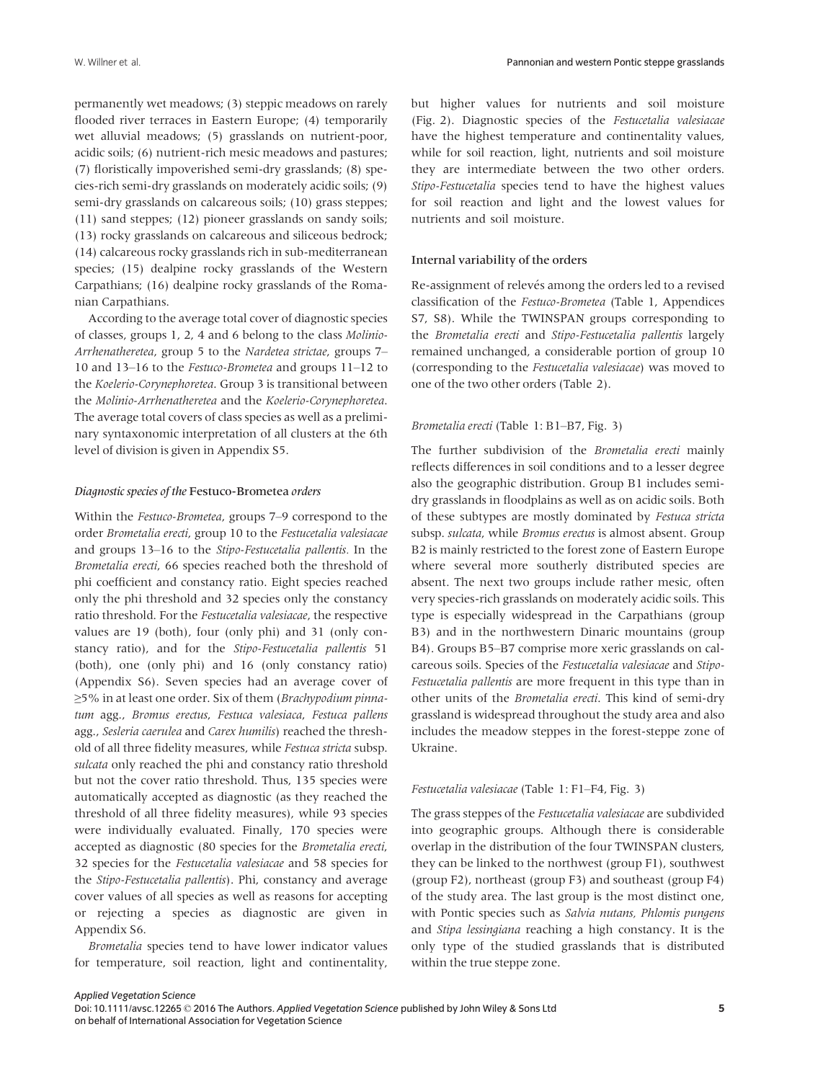permanently wet meadows; (3) steppic meadows on rarely flooded river terraces in Eastern Europe; (4) temporarily wet alluvial meadows; (5) grasslands on nutrient-poor, acidic soils; (6) nutrient-rich mesic meadows and pastures; (7) floristically impoverished semi-dry grasslands; (8) species-rich semi-dry grasslands on moderately acidic soils; (9) semi-dry grasslands on calcareous soils; (10) grass steppes; (11) sand steppes; (12) pioneer grasslands on sandy soils; (13) rocky grasslands on calcareous and siliceous bedrock; (14) calcareous rocky grasslands rich in sub-mediterranean species; (15) dealpine rocky grasslands of the Western Carpathians; (16) dealpine rocky grasslands of the Romanian Carpathians.

According to the average total cover of diagnostic species of classes, groups 1, 2, 4 and 6 belong to the class Molinio-Arrhenatheretea, group 5 to the Nardetea strictae, groups 7– 10 and 13–16 to the Festuco-Brometea and groups 11–12 to the Koelerio-Corynephoretea. Group 3 is transitional between the Molinio-Arrhenatheretea and the Koelerio-Corynephoretea. The average total covers of class species as well as a preliminary syntaxonomic interpretation of all clusters at the 6th level of division is given in Appendix S5.

#### Diagnostic species of the Festuco-Brometea orders

Within the Festuco-Brometea, groups 7–9 correspond to the order Brometalia erecti, group 10 to the Festucetalia valesiacae and groups 13–16 to the Stipo-Festucetalia pallentis. In the Brometalia erecti, 66 species reached both the threshold of phi coefficient and constancy ratio. Eight species reached only the phi threshold and 32 species only the constancy ratio threshold. For the Festucetalia valesiacae, the respective values are 19 (both), four (only phi) and 31 (only constancy ratio), and for the Stipo-Festucetalia pallentis 51 (both), one (only phi) and 16 (only constancy ratio) (Appendix S6). Seven species had an average cover of ≥5% in at least one order. Six of them (Brachypodium pinnatum agg., Bromus erectus, Festuca valesiaca, Festuca pallens agg., Sesleria caerulea and Carex humilis) reached the threshold of all three fidelity measures, while Festuca stricta subsp. sulcata only reached the phi and constancy ratio threshold but not the cover ratio threshold. Thus, 135 species were automatically accepted as diagnostic (as they reached the threshold of all three fidelity measures), while 93 species were individually evaluated. Finally, 170 species were accepted as diagnostic (80 species for the Brometalia erecti, 32 species for the Festucetalia valesiacae and 58 species for the Stipo-Festucetalia pallentis). Phi, constancy and average cover values of all species as well as reasons for accepting or rejecting a species as diagnostic are given in Appendix S6.

Brometalia species tend to have lower indicator values for temperature, soil reaction, light and continentality,

but higher values for nutrients and soil moisture (Fig. 2). Diagnostic species of the Festucetalia valesiacae have the highest temperature and continentality values, while for soil reaction, light, nutrients and soil moisture they are intermediate between the two other orders. Stipo-Festucetalia species tend to have the highest values for soil reaction and light and the lowest values for nutrients and soil moisture.

# Internal variability of the orders

Re-assignment of relevés among the orders led to a revised classification of the Festuco-Brometea (Table 1, Appendices S7, S8). While the TWINSPAN groups corresponding to the Brometalia erecti and Stipo-Festucetalia pallentis largely remained unchanged, a considerable portion of group 10 (corresponding to the Festucetalia valesiacae) was moved to one of the two other orders (Table 2).

#### Brometalia erecti (Table 1: B1–B7, Fig. 3)

The further subdivision of the Brometalia erecti mainly reflects differences in soil conditions and to a lesser degree also the geographic distribution. Group B1 includes semidry grasslands in floodplains as well as on acidic soils. Both of these subtypes are mostly dominated by Festuca stricta subsp. sulcata, while Bromus erectus is almost absent. Group B2 is mainly restricted to the forest zone of Eastern Europe where several more southerly distributed species are absent. The next two groups include rather mesic, often very species-rich grasslands on moderately acidic soils. This type is especially widespread in the Carpathians (group B3) and in the northwestern Dinaric mountains (group B4). Groups B5–B7 comprise more xeric grasslands on calcareous soils. Species of the Festucetalia valesiacae and Stipo-Festucetalia pallentis are more frequent in this type than in other units of the Brometalia erecti. This kind of semi-dry grassland is widespread throughout the study area and also includes the meadow steppes in the forest-steppe zone of Ukraine.

# Festucetalia valesiacae (Table 1: F1–F4, Fig. 3)

The grass steppes of the Festucetalia valesiacae are subdivided into geographic groups. Although there is considerable overlap in the distribution of the four TWINSPAN clusters, they can be linked to the northwest (group F1), southwest (group F2), northeast (group F3) and southeast (group F4) of the study area. The last group is the most distinct one, with Pontic species such as Salvia nutans, Phlomis pungens and Stipa lessingiana reaching a high constancy. It is the only type of the studied grasslands that is distributed within the true steppe zone.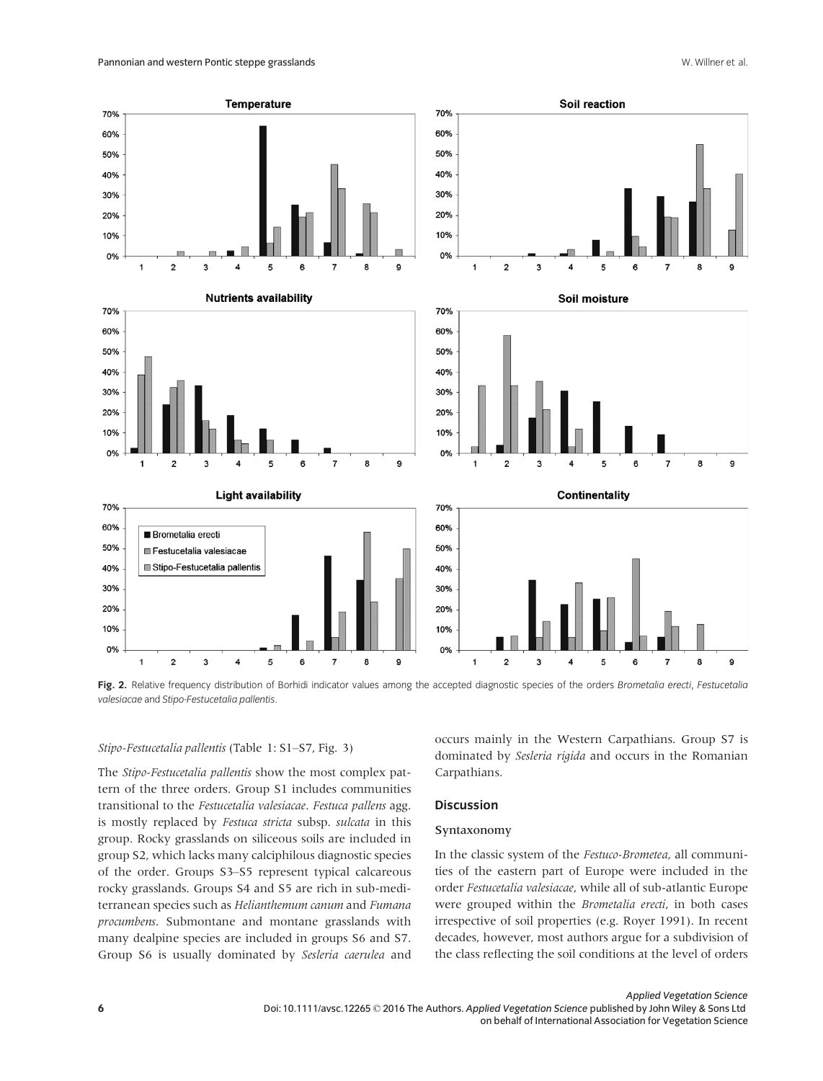

Fig. 2. Relative frequency distribution of Borhidi indicator values among the accepted diagnostic species of the orders Brometalia erecti, Festucetalia valesiacae and Stipo-Festucetalia pallentis.

#### Stipo-Festucetalia pallentis (Table 1: S1–S7, Fig. 3)

The Stipo-Festucetalia pallentis show the most complex pattern of the three orders. Group S1 includes communities transitional to the Festucetalia valesiacae. Festuca pallens agg. is mostly replaced by Festuca stricta subsp. sulcata in this group. Rocky grasslands on siliceous soils are included in group S2, which lacks many calciphilous diagnostic species of the order. Groups S3–S5 represent typical calcareous rocky grasslands. Groups S4 and S5 are rich in sub-mediterranean species such as Helianthemum canum and Fumana procumbens. Submontane and montane grasslands with many dealpine species are included in groups S6 and S7. Group S6 is usually dominated by Sesleria caerulea and

occurs mainly in the Western Carpathians. Group S7 is dominated by Sesleria rigida and occurs in the Romanian Carpathians.

# **Discussion**

#### Syntaxonomy

In the classic system of the Festuco-Brometea, all communities of the eastern part of Europe were included in the order Festucetalia valesiacae, while all of sub-atlantic Europe were grouped within the Brometalia erecti, in both cases irrespective of soil properties (e.g. Royer 1991). In recent decades, however, most authors argue for a subdivision of the class reflecting the soil conditions at the level of orders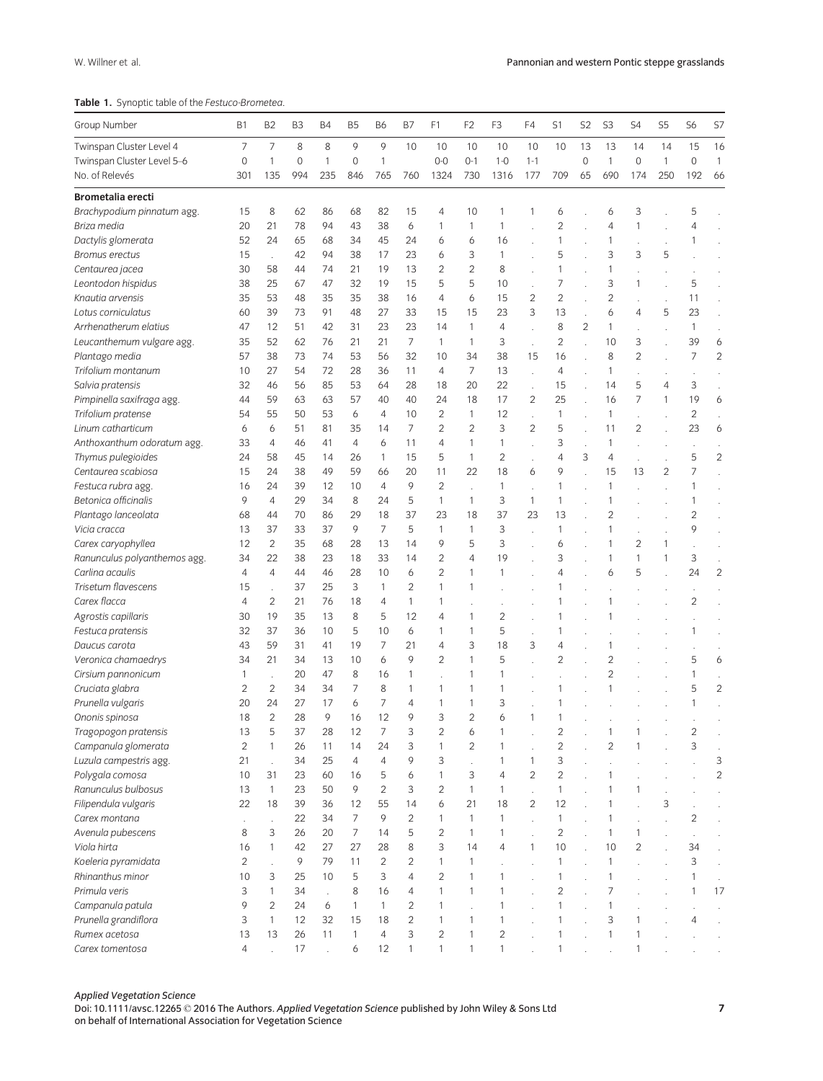Table 1. Synoptic table of the Festuco-Brometea.

| Group Number                 | <b>B1</b>      | B <sub>2</sub> | B <sub>3</sub> | Β4  | B <sub>5</sub> | <b>B6</b>      | B7             | F1             | F <sub>2</sub> | F <sub>3</sub> | F4                   | S1             | S2             | S <sub>3</sub> | S4             | S5             | S6             | S7             |
|------------------------------|----------------|----------------|----------------|-----|----------------|----------------|----------------|----------------|----------------|----------------|----------------------|----------------|----------------|----------------|----------------|----------------|----------------|----------------|
| Twinspan Cluster Level 4     | 7              | $\overline{7}$ | 8              | 8   | 9              | 9              | 10             | 10             | 10             | 10             | 10                   | 10             | 13             | 13             | 14             | 14             | 15             | 16             |
| Twinspan Cluster Level 5-6   | $\mathbf 0$    | 1              | $\mathbf 0$    | 1   | $\mathbf 0$    | $\mathbf{1}$   |                | $0-0$          | $0 - 1$        | $1 - 0$        | $1 - 1$              |                | $\mathbf 0$    | $\mathbf{1}$   | $\mathbf 0$    | $\mathbf{1}$   | $\mathbf 0$    | $\mathbf{1}$   |
| No. of Relevés               | 301            | 135            | 994            | 235 | 846            | 765            | 760            | 1324           | 730            | 1316           | 177                  | 709            | 65             | 690            | 174            | 250            | 192            | 66             |
| <b>Brometalia erecti</b>     |                |                |                |     |                |                |                |                |                |                |                      |                |                |                |                |                |                |                |
| Brachypodium pinnatum agg.   | 15             | 8              | 62             | 86  | 68             | 82             | 15             | 4              | 10             | 1              | 1                    | 6              |                | 6              | 3              |                | 5              |                |
| Briza media                  | 20             | 21             | 78             | 94  | 43             | 38             | 6              | 1              | 1              | 1              |                      | $\overline{c}$ |                | 4              | 1              |                | 4              |                |
| Dactylis glomerata           | 52             | 24             | 65             | 68  | 34             | 45             | 24             | 6              | 6              | 16             |                      | $\mathbf{1}$   |                | 1              |                |                |                |                |
| <b>Bromus erectus</b>        | 15             |                | 42             | 94  | 38             | 17             | 23             | 6              | 3              | 1              |                      | 5              |                | 3              | 3              | 5              |                |                |
| Centaurea jacea              | 30             | 58             | 44             | 74  | 21             | 19             | 13             | 2              | $\overline{c}$ | 8              |                      | $\mathbf{1}$   |                | 1              |                |                |                |                |
| Leontodon hispidus           | 38             | 25             | 67             | 47  | 32             | 19             | 15             | 5              | 5              | 10             |                      | 7              |                | 3              | 1              |                | 5              |                |
| Knautia arvensis             | 35             | 53             | 48             | 35  | 35             | 38             | 16             | 4              | 6              | 15             | 2                    | $\overline{c}$ |                | $\overline{c}$ |                |                | 11             |                |
| Lotus corniculatus           | 60             | 39             | 73             | 91  | 48             | 27             | 33             | 15             | 15             | 23             | 3                    | 13             |                | 6              | $\overline{4}$ | 5              | 23             |                |
| Arrhenatherum elatius        | 47             | 12             | 51             | 42  | 31             | 23             | 23             | 14             | $\mathbf{1}$   | 4              |                      | 8              | $\overline{c}$ | 1              |                |                | $\mathbf{1}$   |                |
| Leucanthemum vulgare agg.    | 35             | 52             | 62             | 76  | 21             | 21             | 7              | 1              | $\mathbf{1}$   | 3              |                      | 2              |                | 10             | 3              |                | 39             | 6              |
| Plantago media               | 57             | 38             | 73             | 74  | 53             | 56             | 32             | 10             | 34             | 38             | 15                   | 16             |                | 8              | $\overline{2}$ |                | 7              | $\overline{2}$ |
| Trifolium montanum           | 10             | 27             | 54             | 72  | 28             | 36             | 11             | 4              | $\overline{7}$ | 13             |                      | 4              |                | 1              |                |                |                |                |
| Salvia pratensis             | 32             | 46             | 56             | 85  | 53             | 64             | 28             | 18             | 20             | 22             | $\ddot{\phantom{a}}$ | 15             |                | 14             | 5              | 4              | 3              |                |
| Pimpinella saxifraga agg.    | 44             | 59             | 63             | 63  | 57             | 40             | 40             | 24             | 18             | 17             | $\overline{c}$       | 25             |                | 16             | 7              | 1              | 19             | 6              |
| Trifolium pratense           | 54             | 55             | 50             | 53  | 6              | $\overline{4}$ | 10             | $\overline{c}$ | $\mathbf{1}$   | 12             |                      | $\mathbf{1}$   |                | 1              |                |                | 2              |                |
| Linum catharticum            | 6              | 6              | 51             | 81  | 35             | 14             | 7              | $\overline{c}$ | $\overline{c}$ | 3              | $\overline{c}$       | 5              |                | 11             | $\overline{c}$ |                | 23             | 6              |
| Anthoxanthum odoratum agg.   | 33             | $\overline{4}$ | 46             | 41  | $\overline{4}$ | 6              | 11             | 4              | 1              | 1              |                      | 3              |                | 1              |                |                |                |                |
| Thymus pulegioides           | 24             | 58             | 45             | 14  | 26             | $\mathbf{1}$   | 15             | 5              | $\mathbf{1}$   | 2              |                      | $\overline{4}$ | 3              | $\overline{4}$ |                |                | 5              | $\overline{c}$ |
| Centaurea scabiosa           | 15             | 24             | 38             | 49  | 59             | 66             | 20             | 11             | 22             | 18             | 6                    | 9              |                | 15             | 13             | $\overline{2}$ | 7              |                |
| Festuca rubra agg            | 16             | 24             | 39             | 12  | 10             | $\overline{4}$ | 9              | $\overline{c}$ |                | 1              |                      | $\mathbf{1}$   |                | 1              |                |                | 1              |                |
| Betonica officinalis         | 9              | $\overline{4}$ | 29             | 34  | 8              | 24             | 5              | $\mathbf{1}$   | $\mathbf{1}$   | 3              | 1                    | 1              |                | 1              |                |                | 1              |                |
| Plantago lanceolata          | 68             | 44             | 70             | 86  | 29             | 18             | 37             | 23             | 18             | 37             | 23                   | 13             |                | 2              |                |                | 2              |                |
| Vicia cracca                 | 13             | 37             | 33             | 37  | 9              | $\overline{7}$ | 5              | $\mathbf{1}$   | $\mathbf{1}$   | 3              |                      | $\mathbf{1}$   |                | 1              |                |                | 9              |                |
| Carex caryophyllea           | 12             | $\overline{2}$ | 35             | 68  | 28             | 13             | 14             | 9              | 5              | 3              |                      | 6              |                | 1              | $\overline{2}$ | 1              |                |                |
| Ranunculus polyanthemos agg. | 34             | 22             | 38             | 23  | 18             | 33             | 14             | $\overline{2}$ | $\overline{4}$ | 19             |                      | 3              |                | 1              | $\mathbf{1}$   | 1              | 3              | ä,             |
| Carlina acaulis              | 4              | 4              | 44             | 46  | 28             | 10             | 6              | $\overline{2}$ | 1              | 1              |                      | 4              |                | 6              | 5              |                | 24             | $\overline{c}$ |
| Trisetum flavescens          | 15             |                | 37             | 25  | 3              | $\mathbf{1}$   | $\overline{2}$ | $\mathbf{1}$   | 1              |                |                      |                |                |                |                |                |                |                |
| Carex flacca                 | 4              | $\overline{c}$ | 21             | 76  | 18             | 4              | $\mathbf{1}$   | 1              |                |                |                      | 1              |                | 1              |                |                | $\overline{2}$ |                |
| Agrostis capillaris          | 30             | 19             | 35             | 13  | 8              | 5              | 12             | 4              | 1              | 2              |                      | 1              |                | 1              |                |                |                |                |
| Festuca pratensis            | 32             | 37             | 36             | 10  | 5              | 10             | 6              | 1              | 1              | 5              | $\overline{a}$       | 1              |                |                |                |                | 1              |                |
| Daucus carota                | 43             | 59             | 31             | 41  | 19             | 7              | 21             | 4              | 3              | 18             | 3                    | 4              |                | 1              |                |                |                |                |
| Veronica chamaedrys          | 34             | 21             | 34             | 13  | 10             | 6              | 9              | $\overline{c}$ | $\mathbf{1}$   | 5              |                      | $\overline{c}$ |                | $\overline{2}$ |                |                | 5              | 6              |
| Cirsium pannonicum           | 1              |                | 20             | 47  | 8              | 16             | 1              |                | 1              | 1              |                      |                |                | $\overline{c}$ |                |                | 1              |                |
| Cruciata glabra              | 2              | $\overline{2}$ | 34             | 34  | 7              | 8              | 1              | 1              | 1              | 1              |                      |                |                | 1              |                |                | 5              | $\overline{2}$ |
| Prunella vulgaris            | 20             | 24             | 27             | 17  | 6              | 7              | 4              | 1              | 1              | 3              |                      |                |                |                |                |                | 1              |                |
| Ononis spinosa               | 18             | $\overline{c}$ | 28             | 9   | 16             | 12             | 9              | 3              | $\overline{c}$ | 6              | 1                    |                |                |                |                |                |                |                |
| Tragopogon pratensis         | 13             | 5              | 37             | 28  | 12             |                |                |                | 6              |                |                      | $\overline{c}$ |                |                |                |                |                |                |
| Campanula glomerata          | $\overline{c}$ | 1              | 26             | 11  | 14             | 24             | 3              | 1              | $\overline{c}$ | 1              |                      | $\mathbf{2}$   |                | $\overline{c}$ | 1              |                | 3              |                |
| Luzula campestris agg.       | 21             |                | 34             | 25  | $\overline{4}$ | $\overline{4}$ | 9              | 3              |                | 1              | 1                    | 3              |                |                |                |                |                | 3              |
| Polygala comosa              | 10             | 31             | 23             | 60  | 16             | 5              | 6              | $\mathbf{1}$   | 3              | $\overline{4}$ | $\overline{c}$       | $\overline{c}$ |                | 1              |                |                |                | $\overline{c}$ |
| Ranunculus bulbosus          | 13             | $\mathbf{1}$   | 23             | 50  | 9              | $\overline{c}$ | 3              | $\overline{c}$ | $\mathbf{1}$   | 1              | $\ddot{\phantom{a}}$ | $\mathbf{1}$   |                | 1              | 1              |                |                |                |
| Filipendula vulgaris         | 22             | 18             | 39             | 36  | 12             | 55             | 14             | 6              | 21             | 18             | $\overline{2}$       | 12             |                | 1              |                | 3              |                |                |
| Carex montana                |                |                | 22             | 34  | $\overline{7}$ | 9              | $\overline{c}$ | $\mathbf{1}$   | $\mathbf{1}$   | 1              |                      | $\mathbf{1}$   |                | $\mathbf{1}$   |                |                | $\overline{c}$ |                |
| Avenula pubescens            | 8              | 3              | 26             | 20  | $\overline{7}$ | 14             | 5              | $\overline{c}$ | $\mathbf{1}$   | 1              |                      | $\overline{2}$ |                | $\mathbf{1}$   | $\mathbf{1}$   |                |                |                |
| Viola hirta                  | 16             | $\mathbf{1}$   | 42             | 27  | 27             | 28             | 8              | 3              | 14             | 4              | $\mathbf{1}$         | 10             |                | 10             | $\overline{c}$ |                | 34             |                |
| Koeleria pyramidata          | $\overline{c}$ |                | 9              | 79  | 11             | $\overline{c}$ | $\overline{c}$ | $\mathbf{1}$   | $\mathbf{1}$   |                |                      | $\mathbf{1}$   |                | $\mathbf{1}$   |                |                | 3              |                |
| Rhinanthus minor             | 10             | 3              | 25             | 10  | 5              | 3              | $\overline{4}$ | $\overline{c}$ | $\mathbf{1}$   | $\mathbf{1}$   |                      | $\mathbf{1}$   |                | $\mathbf{1}$   |                |                | 1              |                |
| Primula veris                | 3              | $\mathbf{1}$   | 34             | t,  | 8              | 16             | 4              | $\mathbf{1}$   | $\mathbf{1}$   | 1              |                      | $\overline{c}$ |                | 7              |                |                | 1              | 17             |
| Campanula patula             | 9              | $\overline{c}$ | 24             | 6   | $\mathbf{1}$   | $\mathbf{1}$   | $\overline{2}$ | 1              |                | 1              |                      | $\mathbf{1}$   |                | 1              |                |                |                |                |
| Prunella grandiflora         | 3              | $\mathbf{1}$   | 12             | 32  | 15             | 18             | $\overline{c}$ | $\mathbf{1}$   | 1              | 1              |                      | $\mathbf{1}$   |                | 3              | 1              |                | 4              |                |
| Rumex acetosa                | 13             | 13             | 26             | 11  | $\mathbf{1}$   | 4              | 3              | $\overline{c}$ | $\mathbf{1}$   | $\overline{c}$ |                      | $\mathbf{1}$   |                | $\mathbf{1}$   | $\mathbf{1}$   |                |                |                |
| Carex tomentosa              | 4              |                | 17             |     | 6              | 12             | $\mathbf{1}$   | $\mathbf{1}$   | $\mathbf{1}$   | $\mathbf{1}$   |                      | 1              |                |                | 1              |                |                |                |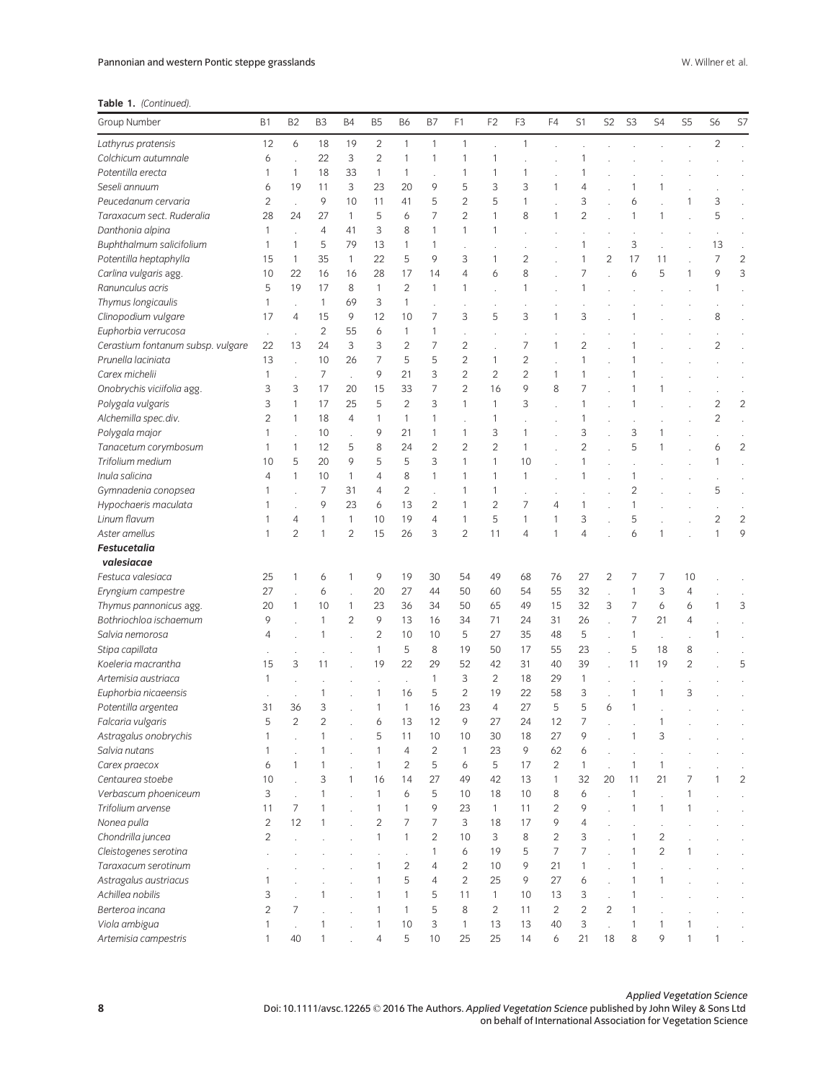Table 1. (Continued).

| Group Number                      | <b>B1</b>      | B <sub>2</sub>       | B <sub>3</sub>      | <b>B4</b>      | <b>B5</b>      | <b>B6</b>      | B7             | F <sub>1</sub> | F <sub>2</sub> | F <sub>3</sub> | F4             | S1             | S <sub>2</sub> | S <sub>3</sub> | S4             | S <sub>5</sub> | S6             | S7             |
|-----------------------------------|----------------|----------------------|---------------------|----------------|----------------|----------------|----------------|----------------|----------------|----------------|----------------|----------------|----------------|----------------|----------------|----------------|----------------|----------------|
| Lathyrus pratensis                | 12             | 6                    | 18                  | 19             | $\overline{c}$ | $\mathbf{1}$   | $\mathbf{1}$   | $\mathbf{1}$   |                | $\mathbf{1}$   |                |                |                |                |                |                | $\overline{2}$ |                |
| Colchicum autumnale               | 6              |                      | 22                  | 3              | $\overline{c}$ | 1              | $\mathbf{1}$   | 1              | 1              |                |                |                |                |                |                |                |                |                |
| Potentilla erecta                 | 1              | $\mathbf{1}$         | 18                  | 33             | $\mathbf{1}$   | $\mathbf{1}$   |                | $\mathbf{1}$   | $\mathbf{1}$   | 1              |                |                |                |                |                |                |                |                |
| Seseli annuum                     | 6              | 19                   | 11                  | 3              | 23             | 20             | 9              | 5              | 3              | 3              | 1              | 4              |                | 1              |                |                |                |                |
| Peucedanum cervaria               | 2              |                      | 9                   | 10             | 11             | 41             | 5              | $\overline{c}$ | 5              | 1              |                | 3              |                | 6              |                | 1              | 3              |                |
| Taraxacum sect. Ruderalia         | 28             | 24                   | 27                  | 1              | 5              | 6              | $\overline{7}$ | $\overline{2}$ | $\mathbf{1}$   | 8              | $\mathbf{1}$   | $\overline{c}$ |                | $\mathbf{1}$   |                |                | 5              |                |
| Danthonia alpina                  | 1              |                      | $\overline{4}$      | 41             | 3              | 8              | $\mathbf{1}$   | $\mathbf{1}$   | $\mathbf{1}$   |                |                |                |                |                |                |                |                |                |
| Buphthalmum salicifolium          | 1              | 1                    | 5                   | 79             | 13             | 1              | $\mathbf{1}$   | $\cdot$        |                |                |                | 1              |                | 3              |                |                | 13             |                |
| Potentilla heptaphylla            | 15             | 1                    | 35                  | $\mathbf{1}$   | 22             | 5              | 9              | 3              | $\mathbf{1}$   | $\overline{2}$ |                | 1              | 2              | 17             | 11             |                | $\overline{7}$ | $\overline{2}$ |
| Carlina vulgaris agg.             | 10             | 22                   | 16                  | 16             | 28             | 17             | 14             | $\overline{4}$ | 6              | 8              |                | 7              |                | 6              | 5              | 1              | 9              | 3              |
| Ranunculus acris                  | 5              | 19                   | 17                  | 8              | $\mathbf{1}$   | $\overline{2}$ | $\mathbf{1}$   | $\mathbf{1}$   |                | $\mathbf{1}$   |                | 1              |                |                |                |                | 1              |                |
| Thymus longicaulis                | 1              |                      | $\mathbf{1}$        | 69             | 3              | 1              |                | $\cdot$        |                |                |                |                |                |                |                |                |                |                |
| Clinopodium vulgare               | 17             | 4                    | 15                  | 9              | 12             | 10             | $\overline{7}$ | 3              | 5              | 3              | 1              | 3              |                |                |                |                | 8              |                |
| Euphorbia verrucosa               | ×,             |                      | $\overline{2}$      | 55             | 6              | 1              | $\mathbf{1}$   |                |                |                |                |                |                |                |                |                |                |                |
| Cerastium fontanum subsp. vulgare | 22             | 13                   | 24                  | 3              | 3              | $\overline{c}$ | $\overline{7}$ | $\overline{2}$ |                | $\overline{7}$ | 1              | $\overline{c}$ |                |                |                |                | $\overline{c}$ |                |
| Prunella laciniata                | 13             |                      | 10                  | 26             | $\overline{7}$ | 5              | 5              | $\overline{2}$ | $\mathbf{1}$   | $\overline{c}$ |                | 1              |                | 1              |                |                |                |                |
| Carex michelii                    | 1              |                      | 7                   |                | 9              | 21             | 3              | $\overline{2}$ | $\overline{2}$ | $\overline{2}$ | 1              | 1              |                |                |                |                |                |                |
| Onobrychis viciifolia agg.        | 3              | 3                    | 17                  | 20             | 15             | 33             | $\overline{7}$ | $\overline{2}$ | 16             | 9              | 8              | 7              |                |                |                |                |                |                |
| Polygala vulgaris                 | 3              | $\mathbf{1}$         | 17                  | 25             | 5              | $\overline{2}$ | 3              | $\mathbf{1}$   | $\mathbf{1}$   | 3              |                | 1              |                | $\mathbf{1}$   |                |                | $\overline{2}$ | $\overline{2}$ |
| Alchemilla spec.div.              | 2              | 1                    | 18                  | $\overline{4}$ | 1              | 1              | $\mathbf{1}$   |                | 1              |                |                | 1              |                |                |                |                | $\overline{c}$ |                |
| Polygala major                    | 1              |                      | 10                  |                | 9              | 21             | $\mathbf{1}$   | $\mathbf{1}$   | 3              | 1              |                | 3              |                | 3              |                |                |                |                |
| Tanacetum corymbosum              | 1              | 1                    | 12                  | 5              | 8              | 24             | $\overline{2}$ | $\overline{2}$ | $\overline{2}$ | $\mathbf{1}$   |                | $\overline{c}$ |                | 5              |                |                | 6              | $\overline{c}$ |
| Trifolium medium                  | 10             | 5                    | 20                  | 9              | 5              | 5              | 3              | $\mathbf{1}$   | $\mathbf{1}$   | 10             |                | 1              |                |                |                |                | $\mathbf{1}$   |                |
| Inula salicina                    | 4              | 1                    | 10                  | $\mathbf{1}$   | 4              | 8              | $\mathbf{1}$   | 1              | $\mathbf{1}$   | 1              |                | 1              |                | 1              |                |                |                |                |
| Gymnadenia conopsea               | 1              |                      | 7                   | 31             | 4              | $\overline{2}$ |                | 1              | 1              |                |                |                |                | $\overline{2}$ |                |                | 5              |                |
| Hypochaeris maculata              | 1              |                      | 9                   | 23             | 6              | 13             | $\overline{c}$ | 1              | $\overline{c}$ | 7              | $\overline{4}$ |                |                | $\mathbf{1}$   |                |                |                |                |
| Linum flavum                      | 1              | 4                    | 1                   | $\mathbf{1}$   | 10             | 19             | $\overline{4}$ | $\mathbf{1}$   | 5              | $\mathbf{1}$   | 1              | 3              |                | 5              |                |                | $\overline{2}$ | $\overline{c}$ |
| Aster amellus                     | 1              | $\overline{2}$       | 1                   | $\overline{2}$ | 15             | 26             | 3              | $\overline{2}$ | 11             | $\overline{4}$ | $\mathbf{1}$   | 4              |                | 6              |                |                | $\mathbf{1}$   | 9              |
| <b>Festucetalia</b>               |                |                      |                     |                |                |                |                |                |                |                |                |                |                |                |                |                |                |                |
| valesiacae                        |                |                      |                     |                |                |                |                |                |                |                |                |                |                |                |                |                |                |                |
| Festuca valesiaca                 | 25             | 1                    | 6                   | 1              | 9              | 19             | 30             | 54             | 49             | 68             | 76             | 27             | 2              | 7              | 7              | 10             |                |                |
| Eryngium campestre                | 27             |                      | 6                   |                | 20             | 27             | 44             | 50             | 60             | 54             | 55             | 32             |                | 1              | 3              | 4              |                |                |
| Thymus pannonicus agg.            | 20             | 1                    | 10                  | $\mathbf{1}$   | 23             | 36             | 34             | 50             | 65             | 49             | 15             | 32             | 3              | 7              | 6              | 6              | 1              | 3              |
| Bothriochloa ischaemum            | 9              |                      | 1                   | $\overline{2}$ | 9              | 13             | 16             | 34             | 71             | 24             | 31             | 26             |                | 7              | 21             | 4              |                |                |
| Salvia nemorosa                   | 4              |                      | 1                   |                | $\overline{c}$ | 10             | 10             | 5              | 27             | 35             | 48             | 5              |                | $\mathbf{1}$   |                |                | 1              |                |
| Stipa capillata                   |                |                      |                     |                | $\mathbf{1}$   | 5              | 8              | 19             | 50             | 17             | 55             | 23             |                | 5              | 18             | 8              |                |                |
| Koeleria macrantha                | 15             | 3                    | 11                  |                | 19             | 22             | 29             | 52             | 42             | 31             | 40             | 39             |                | 11             | 19             | $\overline{c}$ |                | 5              |
| Artemisia austriaca               | 1              |                      |                     |                |                |                | $\mathbf{1}$   | 3              | $\overline{2}$ | 18             | 29             | $\mathbf{1}$   |                |                |                |                |                |                |
| Euphorbia nicaeensis              |                |                      | 1                   |                | $\mathbf{1}$   | 16             | 5              | $\overline{2}$ | 19             | 22             | 58             | 3              |                | 1              | 1              | 3              |                |                |
| Potentilla argentea               | 31             | 36<br>$\overline{2}$ | 3<br>$\overline{2}$ |                | 1              | 1              | 16             | 23<br>9        | 4              | 27             | 5              | 5<br>7         | 6              | $\mathbf{1}$   |                |                |                |                |
| Falcaria vulgaris                 | 5              |                      |                     |                | 6              | 13<br>11       | 12<br>10       | 10             | 27             | 24<br>18       | 12             | $\circ$        |                |                |                |                |                |                |
| Astragalus onobrychis             |                |                      | 1                   |                | $\mathbf{1}$   | 4              | $\overline{c}$ | $\mathbf{1}$   | 30<br>23       | 9              | 27<br>62       |                |                |                |                |                |                |                |
| Salvia nutans<br>Carex praecox    | 1<br>6         | 1                    | $\mathbf{1}$        |                | $\mathbf{1}$   | $\overline{2}$ | 5              | 6              | 5              | 17             | $\overline{c}$ | 6<br>1         |                | $\mathbf{1}$   | 1              |                |                |                |
| Centaurea stoebe                  | 10             |                      | 3                   | 1              | 16             | 14             | 27             | 49             | 42             | 13             | $\mathbf{1}$   | 32             | 20             | 11             | 21             | 7              | 1              | $\overline{c}$ |
| Verbascum phoeniceum              | 3              |                      | $\mathbf{1}$        |                | $\mathbf{1}$   | 6              | 5              | 10             | 18             | 10             | 8              | 6              |                | $\mathbf{1}$   |                | 1              |                |                |
| Trifolium arvense                 | 11             | $\overline{7}$       | $\mathbf{1}$        | $\overline{a}$ | $\mathbf{1}$   | $\mathbf{1}$   | 9              | 23             | $\mathbf{1}$   | 11             | $\overline{c}$ | 9              | i.             | $\mathbf{1}$   | $\mathbf{1}$   | 1              |                |                |
| Nonea pulla                       | $\overline{c}$ | 12                   | $\mathbf{1}$        |                | $\overline{c}$ | 7              | $\overline{7}$ | 3              | 18             | 17             | 9              | 4              |                |                |                |                |                |                |
| Chondrilla juncea                 | $\overline{c}$ |                      |                     |                | $\mathbf{1}$   | $\mathbf{1}$   | $\overline{2}$ | 10             | 3              | 8              | $\overline{c}$ | 3              |                | $\mathbf{1}$   | 2              |                |                |                |
| Cleistogenes serotina             |                |                      |                     |                |                |                | $\mathbf{1}$   | 6              | 19             | 5              | 7              | 7              |                | $\mathbf{1}$   | $\overline{c}$ | 1              |                |                |
| Taraxacum serotinum               |                |                      |                     |                | 1              | $\overline{c}$ | $\overline{4}$ | $\overline{c}$ | 10             | 9              | 21             | 1              |                | 1              |                |                |                |                |
| Astragalus austriacus             | 1              |                      |                     |                | 1              | 5              | $\overline{4}$ | $\overline{2}$ | 25             | 9              | 27             | 6              |                | $\mathbf{1}$   |                |                |                |                |
| Achillea nobilis                  | 3              |                      | 1                   |                | 1              | $\mathbf{1}$   | 5              | 11             | $\mathbf{1}$   | 10             | 13             | 3              |                | $\mathbf{1}$   |                |                |                |                |
| Berteroa incana                   | $\overline{c}$ | $\overline{7}$       |                     |                | $\mathbf{1}$   | 1              | 5              | 8              | $\overline{2}$ | 11             | $\overline{2}$ | $\overline{c}$ | $\overline{c}$ | $\mathbf{1}$   |                |                |                |                |
| Viola ambigua                     | 1              | $\overline{a}$       | 1                   |                | $\mathbf{1}$   | 10             | 3              | $\mathbf{1}$   | 13             | 13             | 40             | 3              |                | 1              | 1              | 1              |                |                |
| Artemisia campestris              | 1              | 40                   | $\mathbf{1}$        |                | $\overline{4}$ | 5              | 10             | 25             | 25             | 14             | 6              | 21             | 18             | 8              | 9              | 1              | 1              |                |
|                                   |                |                      |                     |                |                |                |                |                |                |                |                |                |                |                |                |                |                |                |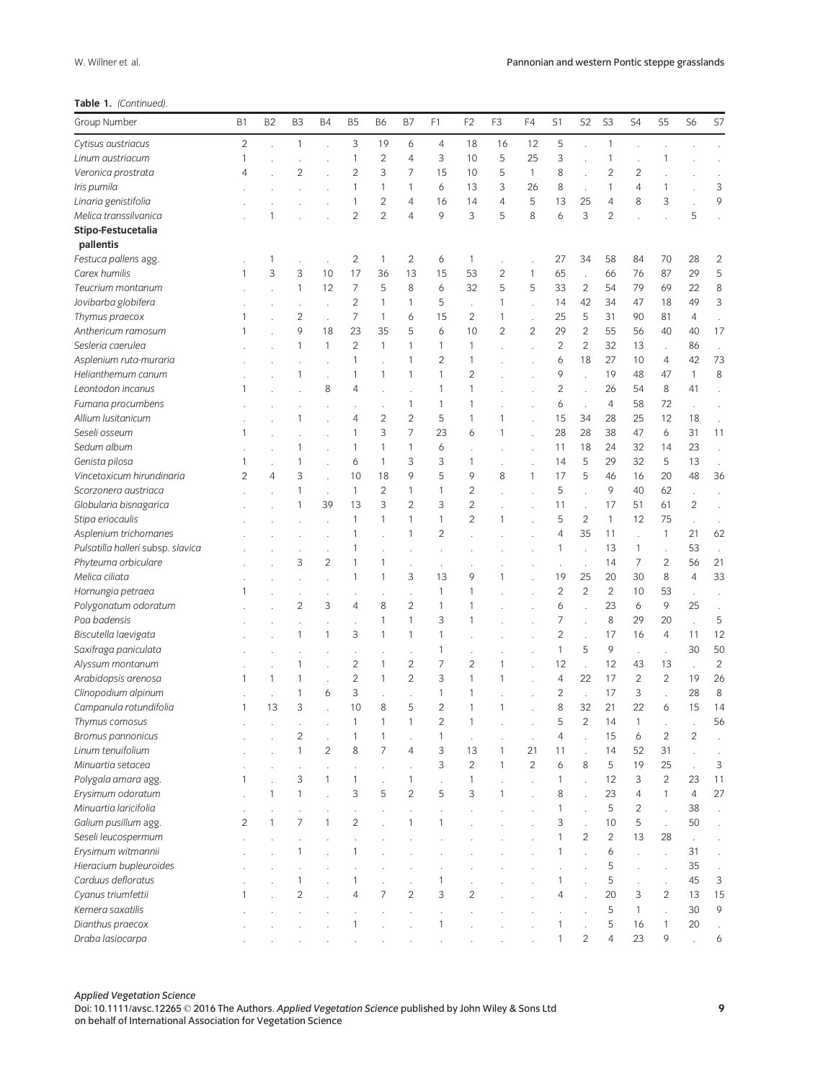| W. Willner et al. |
|-------------------|
|-------------------|

# Table 1. (Continued).

| Group Number                      | <b>B1</b>      | B <sub>2</sub> | B <sub>3</sub> | <b>B4</b>      | <b>B5</b>      | <b>B6</b>      | B7             | F1                   | F <sub>2</sub> | F <sub>3</sub> | F4             | S1             | S <sub>2</sub>       | S <sub>3</sub> | S4             | S <sub>5</sub>       | S <sub>6</sub> | S7             |
|-----------------------------------|----------------|----------------|----------------|----------------|----------------|----------------|----------------|----------------------|----------------|----------------|----------------|----------------|----------------------|----------------|----------------|----------------------|----------------|----------------|
| Cytisus austriacus                | $\overline{c}$ |                | $\mathbf{1}$   |                | 3              | 19             | 6              | $\overline{4}$       | 18             | 16             | 12             | 5              |                      | 1              |                |                      |                |                |
| Linum austriacum                  | 1              |                |                |                | 1              | $\overline{c}$ | $\overline{4}$ | 3                    | 10             | 5              | 25             | 3              |                      | 1              |                |                      |                |                |
| Veronica prostrata                | 4              |                | $\overline{2}$ |                | $\overline{c}$ | 3              | $\overline{7}$ | 15                   | 10             | 5              | $\mathbf{1}$   | 8              |                      | $\overline{c}$ | $\overline{c}$ |                      |                |                |
| Iris pumila                       |                |                |                |                | 1              | 1              | $\mathbf{1}$   | 6                    | 13             | 3              | 26             | 8              | $\ddot{\phantom{a}}$ | 1              | $\overline{4}$ |                      |                | 3              |
| Linaria genistifolia              |                |                |                |                | 1              | $\overline{c}$ | $\overline{4}$ | 16                   | 14             | $\overline{4}$ | 5              | 13             | 25                   | 4              | 8              | 3                    |                | 9              |
| Melica transsilvanica             |                |                |                |                | 2              | $\overline{2}$ | $\overline{4}$ | 9                    | 3              | 5              | 8              | 6              | 3                    | $\overline{2}$ |                |                      | 5              |                |
| Stipo-Festucetalia                |                |                |                |                |                |                |                |                      |                |                |                |                |                      |                |                |                      |                |                |
| pallentis                         |                |                |                |                |                |                |                |                      |                |                |                |                |                      |                |                |                      |                |                |
| Festuca pallens agg.              |                |                |                |                | 2              | 1              | $\overline{2}$ | 6                    | $\mathbf{1}$   |                |                | 27             | 34                   | 58             | 84             | 70                   | 28             | $\overline{c}$ |
| Carex humilis                     | 1              | 3              | 3              | 10             | 17             | 36             | 13             | 15                   | 53             | 2              | 1              | 65             |                      | 66             | 76             | 87                   | 29             | 5              |
| Teucrium montanum                 |                |                | $\mathbf{1}$   | 12             | $\overline{7}$ | 5              | 8              | 6                    | 32             | 5              | 5              | 33             | $\overline{c}$       | 54             | 79             | 69                   | 22             | 8              |
| Jovibarba globifera               |                |                |                |                | $\overline{c}$ | 1              | $\mathbf{1}$   | 5                    |                | 1              |                | 14             | 42                   | 34             | 47             | 18                   | 49             | 3              |
| Thymus praecox                    | 1              |                | $\overline{c}$ |                | 7              | 1              | 6              | 15                   | $\overline{2}$ | 1              |                | 25             | 5                    | 31             | 90             | 81                   | 4              |                |
| Anthericum ramosum                | 1              |                | 9              | 18             | 23             | 35             | 5              | 6                    | 10             | $\overline{c}$ | $\overline{c}$ | 29             | $\overline{c}$       | 55             | 56             | 40                   | 40             | 17             |
| Sesleria caerulea                 |                |                | $\mathbf{1}$   | $\mathbf{1}$   | $\overline{c}$ | 1              | $\mathbf{1}$   | $\mathbf{1}$         | $\mathbf{1}$   |                |                | $\overline{c}$ | $\overline{2}$       | 32             | 13             | l.                   | 86             |                |
| Asplenium ruta-muraria            |                |                |                |                | 1              |                | $\mathbf{1}$   | $\overline{c}$       | $\mathbf{1}$   |                |                | 6              | 18                   | 27             | 10             | 4                    | 42             | 73             |
| Helianthemum canum                |                |                | 1              |                | 1              | $\mathbf{1}$   | 1              | $\mathbf{1}$         | $\overline{2}$ |                |                | 9              |                      | 19             | 48             | 47                   | 1              | 8              |
| Leontodon incanus                 | 1              |                |                | 8              | 4              |                |                | 1                    | $\mathbf{1}$   |                |                | $\overline{c}$ |                      | 26             | 54             | 8                    | 41             |                |
| Fumana procumbens                 |                |                |                |                |                |                | $\mathbf{1}$   | $\mathbf{1}$         | $\mathbf{1}$   |                |                | 6              |                      | 4              | 58             | 72                   |                |                |
| Allium lusitanicum                |                |                |                |                | 4              | $\overline{2}$ | $\overline{2}$ | 5                    | $\mathbf{1}$   | 1              |                | 15             | 34                   | 28             | 25             | 12                   | 18             |                |
| Seseli osseum                     | 1              |                |                |                | 1              | 3              | $\overline{7}$ | 23                   | 6              | 1              |                | 28             | 28                   | 38             | 47             | 6                    | 31             | 11             |
| Sedum album                       |                |                |                |                | 1              | 1              | $\mathbf{1}$   | 6                    |                |                |                | 11             | 18                   | 24             | 32             | 14                   | 23             |                |
| Genista pilosa                    | 1              |                | 1              |                | 6              | $\mathbf{1}$   | 3              | 3                    | $\mathbf{1}$   |                |                | 14             | 5                    | 29             | 32             | 5                    | 13             |                |
| Vincetoxicum hirundinaria         | $\overline{2}$ | 4              | 3              |                | 10             | 18             | 9              | 5                    | 9              | 8              | $\mathbf{1}$   | 17             | 5                    | 46             | 16             | 20                   | 48             | 36             |
| Scorzonera austriaca              |                |                | 1              |                | $\mathbf{1}$   | $\overline{c}$ | $\mathbf{1}$   | $\mathbf{1}$         | $\overline{2}$ |                |                | 5              |                      | 9              | 40             | 62                   |                |                |
| Globularia bisnagarica            |                |                | 1              | 39             | 13             | 3              | $\overline{2}$ | 3                    | $\overline{2}$ |                |                | 11             | J.                   | 17             | 51             | 61                   | $\overline{c}$ |                |
| Stipa eriocaulis                  |                |                |                | ÷.             | 1              | 1              | $\mathbf{1}$   | $\mathbf{1}$         | $\overline{2}$ | 1              |                | 5              | $\overline{c}$       | $\mathbf{1}$   | 12             | 75                   |                |                |
| Asplenium trichomanes             |                |                |                |                | 1              |                | $\mathbf{1}$   | $\overline{2}$       |                |                |                | 4              | 35                   | 11             | ÷              | $\mathbf{1}$         | 21             | 62             |
| Pulsatilla halleri subsp. slavica |                |                |                |                | 1              |                |                |                      |                |                |                | 1              |                      | 13             | $\mathbf{1}$   | $\ddot{\phantom{0}}$ | 53             |                |
| Phyteuma orbiculare               |                |                | 3              | $\overline{2}$ | 1              | 1              |                | $\ddot{\phantom{0}}$ |                |                |                |                | l,                   | 14             | 7              | 2                    | 56             | 21             |
| Melica ciliata                    |                |                |                |                | 1              | 1              | 3              | 13                   | 9              | 1              |                | 19             | 25                   | 20             | 30             | 8                    | $\overline{4}$ | 33             |
| Hornungia petraea                 | 1              |                |                |                |                |                |                | $\mathbf{1}$         | $\mathbf{1}$   |                |                | $\overline{2}$ | $\overline{c}$       | $\overline{2}$ | 10             | 53                   | $\lambda$      |                |
| Polygonatum odoratum              |                |                | 2              | 3              | 4              | 8              | $\overline{2}$ | $\mathbf{1}$         | $\mathbf{1}$   |                |                | 6              |                      | 23             | 6              | 9                    | 25             |                |
| Poa badensis                      |                |                |                |                |                | 1              | $\mathbf{1}$   | 3                    | $\mathbf{1}$   |                |                | $\overline{7}$ |                      | 8              | 29             | 20                   |                | 5              |
| Biscutella laevigata              |                |                | 1              | $\mathbf{1}$   | 3              | 1              | $\mathbf{1}$   | $\mathbf{1}$         |                |                |                | $\overline{2}$ |                      | 17             | 16             | 4                    | 11             | 12             |
| Saxifraga paniculata              |                |                |                |                | $\cdot$        |                |                | $\mathbf{1}$         |                |                |                | $\mathbf{1}$   | 5                    | 9              | $\cdot$        | $\cdot$              | 30             | 50             |
| Alyssum montanum                  |                |                | 1              |                | 2              | 1              | $\overline{2}$ | $\overline{7}$       | $\overline{2}$ | 1              |                | 12             |                      | 12             | 43             | 13                   |                | $\overline{c}$ |
| Arabidopsis arenosa               | 1              | 1              | 1              |                | $\overline{c}$ | 1              | $\overline{c}$ | 3                    | $\mathbf{1}$   | 1              |                | $\overline{4}$ | 22                   | 17             | $\overline{c}$ | $\overline{c}$       | 19             | 26             |
| Clinopodium alpinum               |                |                | $\mathbf{1}$   | 6              | 3              |                |                | $\mathbf{1}$         | $\mathbf{1}$   |                |                | $\overline{2}$ | $\overline{a}$       | 17             | 3              |                      | 28             | 8              |
| Campanula rotundifolia            | 1              | 13             | 3              |                | 10             | 8              | 5              | $\overline{c}$       | $\mathbf{1}$   | 1              |                | 8              | 32                   | 21             | 22             | 6                    | 15             | 14             |
| Thymus comosus                    |                |                |                |                | 1              | 1              | $\mathbf{1}$   | $\overline{2}$       | $\mathbf{1}$   |                |                | 5              | $\overline{2}$       | 14             | $\mathbf{1}$   |                      |                | 56             |
| Bromus pannonicus                 |                |                | $\overline{c}$ |                |                |                |                |                      |                |                |                |                |                      | 15             | 6              | 2                    | $\overline{c}$ |                |
| Linum tenuifolium                 |                |                | $\mathbf{1}$   | $\overline{c}$ | 8              | 7              | $\overline{4}$ | 3                    | 13             | 1              | 21             | 11             |                      | 14             | 52             | 31                   |                |                |
| Minuartia setacea                 |                |                |                |                |                |                |                | 3                    | $\overline{c}$ | 1              | $\overline{c}$ | 6              | 8                    | 5              | 19             | 25                   |                | 3              |
| Polygala amara agg.               | 1              |                | 3              | 1              | 1              |                | 1              | l,                   | $\mathbf{1}$   |                |                | $\mathbf{1}$   |                      | 12             | 3              | $\overline{c}$       | 23             | 11             |
| Erysimum odoratum                 |                |                | $\mathbf{1}$   |                | 3              | 5              | $\overline{c}$ | 5                    | 3              | 1              |                | 8              |                      | 23             | $\overline{4}$ | $\mathbf{1}$         | $\overline{4}$ | 27             |
| Minuartia laricifolia             |                |                |                |                |                |                |                |                      |                |                |                | $\mathbf{1}$   |                      | 5              | $\overline{c}$ | $\ddot{\phantom{a}}$ | 38             |                |
| Galium pusillum agg.              | $\overline{c}$ |                | 7              | 1              | $\overline{c}$ |                | $\mathbf{1}$   | $\mathbf{1}$         |                |                |                | 3              |                      | 10             | 5              | l.                   | 50             |                |
| Seseli leucospermum               |                |                |                |                |                |                |                |                      |                |                |                | 1              | $\overline{2}$       | $\overline{c}$ | 13             | 28                   |                |                |
| Erysimum witmannii                |                |                |                |                |                |                |                |                      |                |                |                | 1              |                      | 6              |                |                      | 31             |                |
| Hieracium bupleuroides            |                |                |                |                |                |                |                |                      |                |                |                |                |                      | 5              |                |                      | 35             |                |
| Carduus defloratus                |                |                | 1              |                |                |                |                | 1                    |                |                |                | 1              |                      | 5              |                |                      | 45             | 3              |
| Cyanus triumfettii                | 1              |                | $\overline{c}$ |                | 4              | 7              | $\overline{c}$ | 3                    | $\overline{2}$ |                |                | 4              |                      | 20             | 3              | $\overline{c}$       | 13             | 15             |
| Kernera saxatilis                 |                |                |                |                |                |                |                |                      |                |                |                |                |                      | 5              | $\mathbf{1}$   | $\overline{a}$       | 30             | 9              |
| Dianthus praecox                  |                |                |                |                |                |                |                | $\mathbf{1}$         |                |                |                | 1              |                      | 5              | 16             | $\mathbf{1}$         | 20             |                |
| Draba lasiocarpa                  |                |                |                |                |                |                |                |                      |                |                |                |                | $\overline{c}$       | 4              | 23             | 9                    |                | 6              |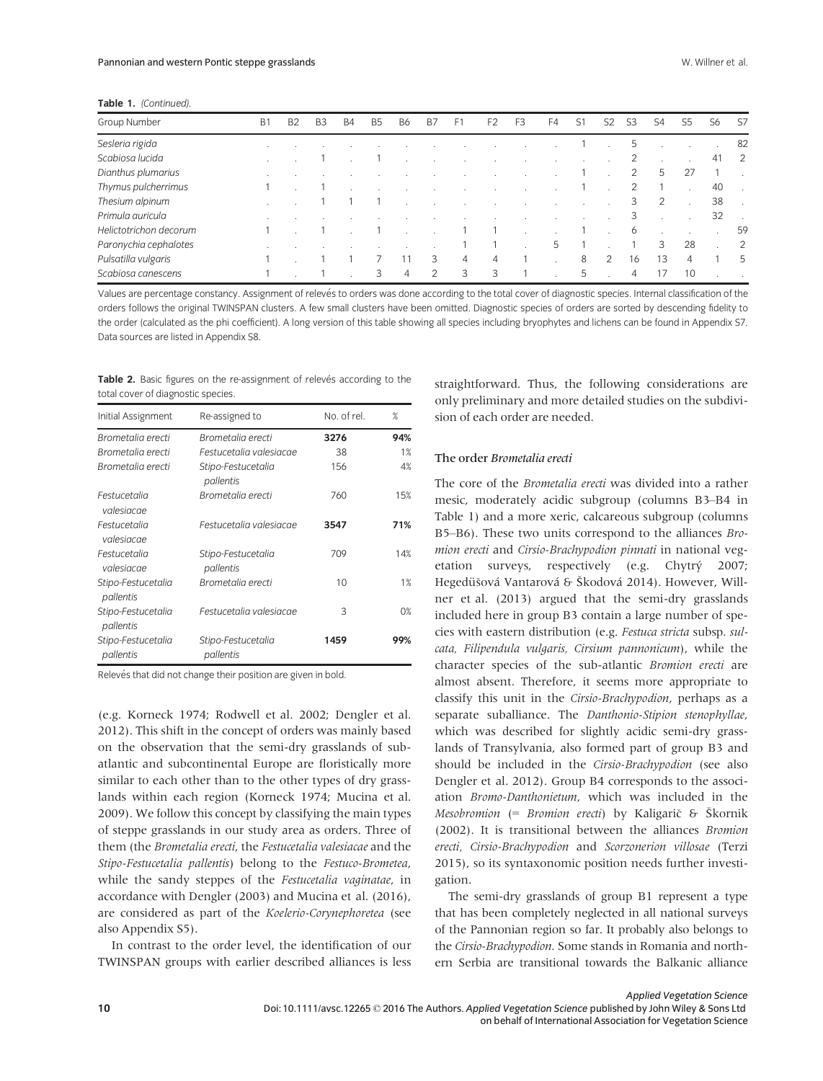| Group Number           | <b>B1</b> | <b>B2</b> | B <sub>3</sub> | B4 | B5 | B6 | B7             | F.             | F <sub>2</sub> | F <sub>3</sub> | F4 | 51 | S2 | S3 | S4 | 55 | S6 | -S7    |
|------------------------|-----------|-----------|----------------|----|----|----|----------------|----------------|----------------|----------------|----|----|----|----|----|----|----|--------|
| Sesleria rigida        |           |           |                |    |    |    |                |                |                |                |    |    |    | 5  |    |    |    | 82     |
| Scabiosa lucida        |           |           |                |    |    |    |                |                |                |                |    |    |    |    |    |    | 41 | 2      |
| Dianthus plumarius     |           |           |                |    |    |    |                |                |                |                |    |    |    | 2  | 5  | 27 |    |        |
| Thymus pulcherrimus    |           |           |                |    |    |    |                |                |                |                |    |    |    |    |    |    | 40 | $\sim$ |
| Thesium alpinum        |           |           |                |    |    |    |                |                |                |                |    |    |    | 3  |    |    | 38 |        |
| Primula auricula       |           |           |                |    |    |    |                |                |                |                |    |    |    | 3  |    |    | 32 |        |
| Helictotrichon decorum |           |           |                |    |    |    |                |                |                |                |    |    |    | 6  |    |    |    | 59     |
| Paronychia cephalotes  |           |           |                |    |    |    |                |                |                |                | 5  |    |    |    | 3  | 28 |    | 2      |
| Pulsatilla vulgaris    |           |           |                |    |    |    | 3              | $\overline{4}$ | $\overline{4}$ |                |    | 8  | 2  | 16 | 13 | 4  |    | 5      |
| Scabiosa canescens     |           |           |                |    | 3  | 4  | $\overline{2}$ | 3              | 3              |                |    | 5  |    | 4  |    | 10 |    |        |

Values are percentage constancy. Assignment of relevés to orders was done according to the total cover of diagnostic species. Internal classification of the orders follows the original TWINSPAN clusters. A few small clusters have been omitted. Diagnostic species of orders are sorted by descending fidelity to the order (calculated as the phi coefficient). A long version of this table showing all species including bryophytes and lichens can be found in Appendix S7. Data sources are listed in Appendix S8.

Table 2. Basic figures on the re-assignment of relevés according to the total cover of diagnostic species.

| Initial Assignment              | Re-assigned to                  | No. of rel. | $\%$ |  |  |
|---------------------------------|---------------------------------|-------------|------|--|--|
| Brometalia erecti               | Brometalia erecti               | 3276        | 94%  |  |  |
| Brometalia erecti               | Festucetalia valesiacae         | 38          | 1%   |  |  |
| Brometalia erecti               | Stipo-Festucetalia<br>pallentis | 156         | 4%   |  |  |
| Festucetalia<br>valesiacae      | Brometalia erecti               | 760         | 15%  |  |  |
| Festucetalia<br>valesiacae      | Festucetalia valesiacae         | 3547        | 71%  |  |  |
| Festucetalia<br>valesiacae      | Stipo-Festucetalia<br>pallentis | 709         | 14%  |  |  |
| Stipo-Festucetalia<br>pallentis | Brometalia erecti               | 10          | 1%   |  |  |
| Stipo-Festucetalia<br>pallentis | Festucetalia valesiacae         | 3           | 0%   |  |  |
| Stipo-Festucetalia<br>pallentis | Stipo-Festucetalia<br>pallentis | 1459        | 99%  |  |  |

Relevés that did not change their position are given in bold.

(e.g. Korneck 1974; Rodwell et al. 2002; Dengler et al. 2012). This shift in the concept of orders was mainly based on the observation that the semi-dry grasslands of subatlantic and subcontinental Europe are floristically more similar to each other than to the other types of dry grasslands within each region (Korneck 1974; Mucina et al. 2009). We follow this concept by classifying the main types of steppe grasslands in our study area as orders. Three of them (the Brometalia erecti, the Festucetalia valesiacae and the Stipo-Festucetalia pallentis) belong to the Festuco-Brometea, while the sandy steppes of the Festucetalia vaginatae, in accordance with Dengler (2003) and Mucina et al. (2016), are considered as part of the Koelerio-Corynephoretea (see also Appendix S5).

In contrast to the order level, the identification of our TWINSPAN groups with earlier described alliances is less straightforward. Thus, the following considerations are only preliminary and more detailed studies on the subdivision of each order are needed.

## The order Brometalia erecti

The core of the Brometalia erecti was divided into a rather mesic, moderately acidic subgroup (columns B3–B4 in Table 1) and a more xeric, calcareous subgroup (columns B5–B6). These two units correspond to the alliances Bromion erecti and Cirsio-Brachypodion pinnati in national vegetation surveys, respectively (e.g. Chytrý 2007; Hegedüšová Vantarová & Škodová 2014). However, Willner et al. (2013) argued that the semi-dry grasslands included here in group B3 contain a large number of species with eastern distribution (e.g. Festuca stricta subsp. sulcata, Filipendula vulgaris, Cirsium pannonicum), while the character species of the sub-atlantic Bromion erecti are almost absent. Therefore, it seems more appropriate to classify this unit in the Cirsio-Brachypodion, perhaps as a separate suballiance. The Danthonio-Stipion stenophyllae, which was described for slightly acidic semi-dry grasslands of Transylvania, also formed part of group B3 and should be included in the Cirsio-Brachypodion (see also Dengler et al. 2012). Group B4 corresponds to the association Bromo-Danthonietum, which was included in the Mesobromion  $(= B$ romion erecti) by Kaligarič & Škornik (2002). It is transitional between the alliances Bromion erecti, Cirsio-Brachypodion and Scorzonerion villosae (Terzi 2015), so its syntaxonomic position needs further investigation.

The semi-dry grasslands of group B1 represent a type that has been completely neglected in all national surveys of the Pannonian region so far. It probably also belongs to the Cirsio-Brachypodion. Some stands in Romania and northern Serbia are transitional towards the Balkanic alliance

Table 1. (Continued)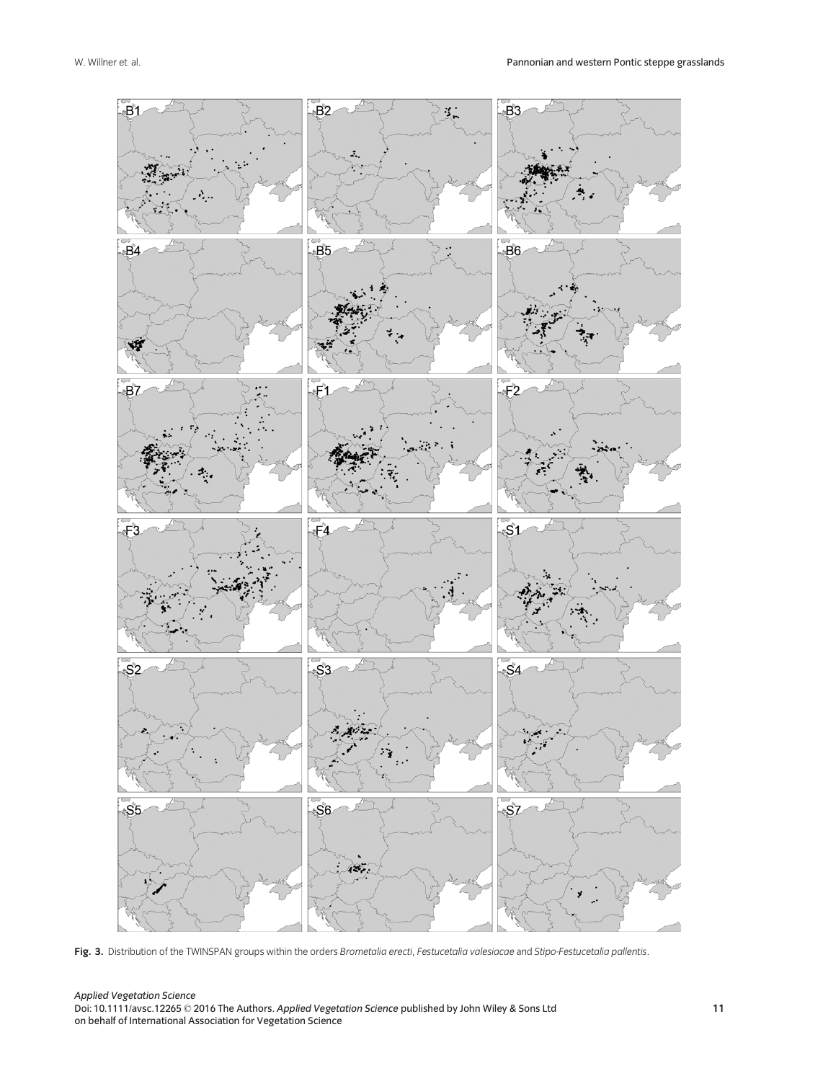

Fig. 3. Distribution of the TWINSPAN groups within the orders Brometalia erecti, Festucetalia valesiacae and Stipo-Festucetalia pallentis.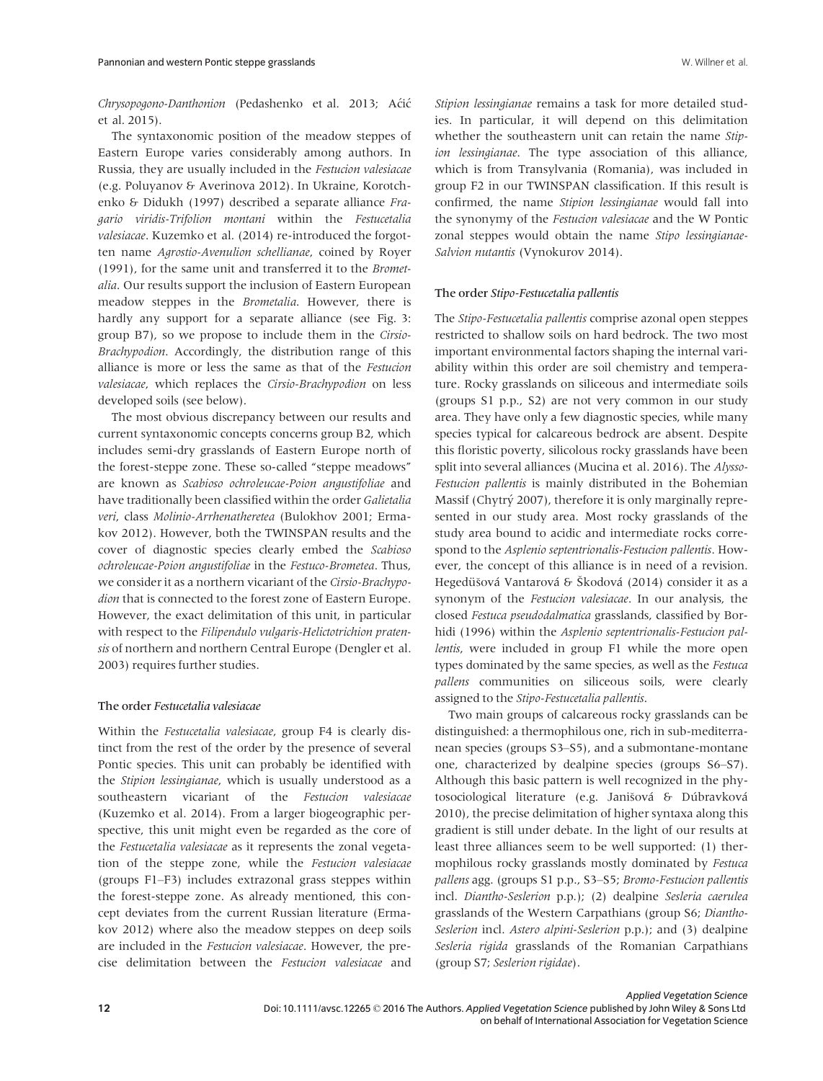Chrysopogono-Danthonion (Pedashenko et al. 2013; Aćić et al. 2015).

The syntaxonomic position of the meadow steppes of Eastern Europe varies considerably among authors. In Russia, they are usually included in the Festucion valesiacae (e.g. Poluyanov & Averinova 2012). In Ukraine, Korotchenko & Didukh (1997) described a separate alliance Fragario viridis-Trifolion montani within the Festucetalia valesiacae. Kuzemko et al. (2014) re-introduced the forgotten name Agrostio-Avenulion schellianae, coined by Royer (1991), for the same unit and transferred it to the Brometalia. Our results support the inclusion of Eastern European meadow steppes in the Brometalia. However, there is hardly any support for a separate alliance (see Fig. 3: group B7), so we propose to include them in the Cirsio-Brachypodion. Accordingly, the distribution range of this alliance is more or less the same as that of the Festucion valesiacae, which replaces the Cirsio-Brachypodion on less developed soils (see below).

The most obvious discrepancy between our results and current syntaxonomic concepts concerns group B2, which includes semi-dry grasslands of Eastern Europe north of the forest-steppe zone. These so-called "steppe meadows" are known as Scabioso ochroleucae-Poion angustifoliae and have traditionally been classified within the order Galietalia veri, class Molinio-Arrhenatheretea (Bulokhov 2001; Ermakov 2012). However, both the TWINSPAN results and the cover of diagnostic species clearly embed the Scabioso ochroleucae-Poion angustifoliae in the Festuco-Brometea. Thus, we consider it as a northern vicariant of the Cirsio-Brachypodion that is connected to the forest zone of Eastern Europe. However, the exact delimitation of this unit, in particular with respect to the Filipendulo vulgaris-Helictotrichion pratensis of northern and northern Central Europe (Dengler et al. 2003) requires further studies.

# The order Festucetalia valesiacae

Within the Festucetalia valesiacae, group F4 is clearly distinct from the rest of the order by the presence of several Pontic species. This unit can probably be identified with the Stipion lessingianae, which is usually understood as a southeastern vicariant of the Festucion valesiacae (Kuzemko et al. 2014). From a larger biogeographic perspective, this unit might even be regarded as the core of the Festucetalia valesiacae as it represents the zonal vegetation of the steppe zone, while the Festucion valesiacae (groups F1–F3) includes extrazonal grass steppes within the forest-steppe zone. As already mentioned, this concept deviates from the current Russian literature (Ermakov 2012) where also the meadow steppes on deep soils are included in the Festucion valesiacae. However, the precise delimitation between the Festucion valesiacae and

Stipion lessingianae remains a task for more detailed studies. In particular, it will depend on this delimitation whether the southeastern unit can retain the name Stipion lessingianae. The type association of this alliance, which is from Transylvania (Romania), was included in group F2 in our TWINSPAN classification. If this result is confirmed, the name Stipion lessingianae would fall into the synonymy of the Festucion valesiacae and the W Pontic zonal steppes would obtain the name Stipo lessingianae-Salvion nutantis (Vynokurov 2014).

#### The order Stipo-Festucetalia pallentis

The Stipo-Festucetalia pallentis comprise azonal open steppes restricted to shallow soils on hard bedrock. The two most important environmental factors shaping the internal variability within this order are soil chemistry and temperature. Rocky grasslands on siliceous and intermediate soils (groups S1 p.p., S2) are not very common in our study area. They have only a few diagnostic species, while many species typical for calcareous bedrock are absent. Despite this floristic poverty, silicolous rocky grasslands have been split into several alliances (Mucina et al. 2016). The Alysso-Festucion pallentis is mainly distributed in the Bohemian Massif (Chytrý 2007), therefore it is only marginally represented in our study area. Most rocky grasslands of the study area bound to acidic and intermediate rocks correspond to the Asplenio septentrionalis-Festucion pallentis. However, the concept of this alliance is in need of a revision. Hegedüšová Vantarová & Škodová (2014) consider it as a synonym of the Festucion valesiacae. In our analysis, the closed Festuca pseudodalmatica grasslands, classified by Borhidi (1996) within the Asplenio septentrionalis-Festucion pallentis, were included in group F1 while the more open types dominated by the same species, as well as the Festuca pallens communities on siliceous soils, were clearly assigned to the Stipo-Festucetalia pallentis.

Two main groups of calcareous rocky grasslands can be distinguished: a thermophilous one, rich in sub-mediterranean species (groups S3–S5), and a submontane-montane one, characterized by dealpine species (groups S6–S7). Although this basic pattern is well recognized in the phytosociological literature (e.g. Janišová & Dúbravková 2010), the precise delimitation of higher syntaxa along this gradient is still under debate. In the light of our results at least three alliances seem to be well supported: (1) thermophilous rocky grasslands mostly dominated by Festuca pallens agg. (groups S1 p.p., S3–S5; Bromo-Festucion pallentis incl. Diantho-Seslerion p.p.); (2) dealpine Sesleria caerulea grasslands of the Western Carpathians (group S6; Diantho-Seslerion incl. Astero alpini-Seslerion p.p.); and (3) dealpine Sesleria rigida grasslands of the Romanian Carpathians (group S7; Seslerion rigidae).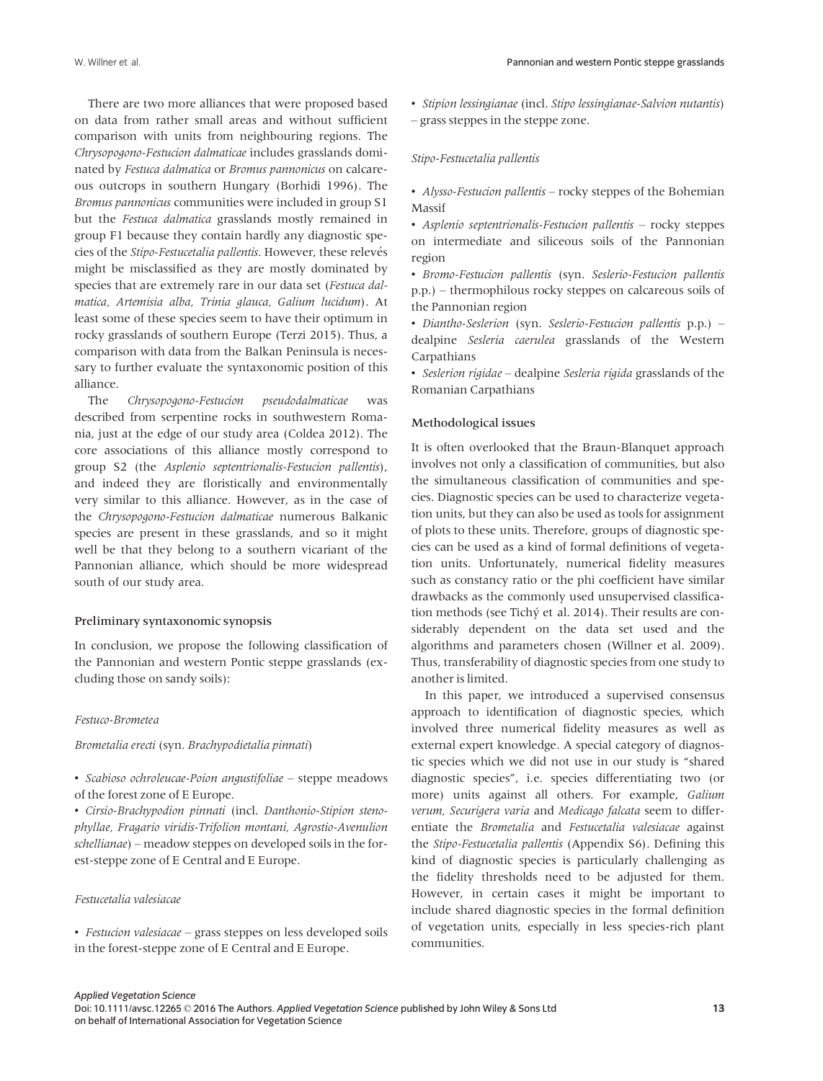There are two more alliances that were proposed based on data from rather small areas and without sufficient comparison with units from neighbouring regions. The Chrysopogono-Festucion dalmaticae includes grasslands dominated by Festuca dalmatica or Bromus pannonicus on calcareous outcrops in southern Hungary (Borhidi 1996). The Bromus pannonicus communities were included in group S1 but the Festuca dalmatica grasslands mostly remained in group F1 because they contain hardly any diagnostic species of the Stipo-Festucetalia pallentis. However, these relevés might be misclassified as they are mostly dominated by species that are extremely rare in our data set (Festuca dalmatica, Artemisia alba, Trinia glauca, Galium lucidum). At least some of these species seem to have their optimum in rocky grasslands of southern Europe (Terzi 2015). Thus, a comparison with data from the Balkan Peninsula is necessary to further evaluate the syntaxonomic position of this alliance.

The Chrysopogono-Festucion pseudodalmaticae was described from serpentine rocks in southwestern Romania, just at the edge of our study area (Coldea 2012). The core associations of this alliance mostly correspond to group S2 (the Asplenio septentrionalis-Festucion pallentis), and indeed they are floristically and environmentally very similar to this alliance. However, as in the case of the Chrysopogono-Festucion dalmaticae numerous Balkanic species are present in these grasslands, and so it might well be that they belong to a southern vicariant of the Pannonian alliance, which should be more widespread south of our study area.

#### Preliminary syntaxonomic synopsis

In conclusion, we propose the following classification of the Pannonian and western Pontic steppe grasslands (excluding those on sandy soils):

#### Festuco-Brometea

# Brometalia erecti (syn. Brachypodietalia pinnati)

• Scabioso ochroleucae-Poion angustifoliae – steppe meadows of the forest zone of E Europe.

• Cirsio-Brachypodion pinnati (incl. Danthonio-Stipion stenophyllae, Fragario viridis-Trifolion montani, Agrostio-Avenulion schellianae) – meadow steppes on developed soils in the forest-steppe zone of E Central and E Europe.

#### Festucetalia valesiacae

• Festucion valesiacae – grass steppes on less developed soils in the forest-steppe zone of E Central and E Europe.

• Stipion lessingianae (incl. Stipo lessingianae-Salvion nutantis) – grass steppes in the steppe zone.

#### Stipo-Festucetalia pallentis

• Alysso-Festucion pallentis – rocky steppes of the Bohemian Massif

• Asplenio septentrionalis-Festucion pallentis – rocky steppes on intermediate and siliceous soils of the Pannonian region

• Bromo-Festucion pallentis (syn. Seslerio-Festucion pallentis p.p.) – thermophilous rocky steppes on calcareous soils of the Pannonian region

• Diantho-Seslerion (syn. Seslerio-Festucion pallentis p.p.) – dealpine Sesleria caerulea grasslands of the Western Carpathians

• Seslerion rigidae – dealpine Sesleria rigida grasslands of the Romanian Carpathians

# Methodological issues

It is often overlooked that the Braun-Blanquet approach involves not only a classification of communities, but also the simultaneous classification of communities and species. Diagnostic species can be used to characterize vegetation units, but they can also be used as tools for assignment of plots to these units. Therefore, groups of diagnostic species can be used as a kind of formal definitions of vegetation units. Unfortunately, numerical fidelity measures such as constancy ratio or the phi coefficient have similar drawbacks as the commonly used unsupervised classification methods (see Tichý et al. 2014). Their results are considerably dependent on the data set used and the algorithms and parameters chosen (Willner et al. 2009). Thus, transferability of diagnostic species from one study to another is limited.

In this paper, we introduced a supervised consensus approach to identification of diagnostic species, which involved three numerical fidelity measures as well as external expert knowledge. A special category of diagnostic species which we did not use in our study is "shared diagnostic species", i.e. species differentiating two (or more) units against all others. For example, Galium verum, Securigera varia and Medicago falcata seem to differentiate the Brometalia and Festucetalia valesiacae against the Stipo-Festucetalia pallentis (Appendix S6). Defining this kind of diagnostic species is particularly challenging as the fidelity thresholds need to be adjusted for them. However, in certain cases it might be important to include shared diagnostic species in the formal definition of vegetation units, especially in less species-rich plant communities.

Applied Vegetation Science Doi: 10.1111/avsc.12265 © 2016 The Authors. Applied Vegetation Science published by John Wiley & Sons Ltd on behalf of International Association for Vegetation Science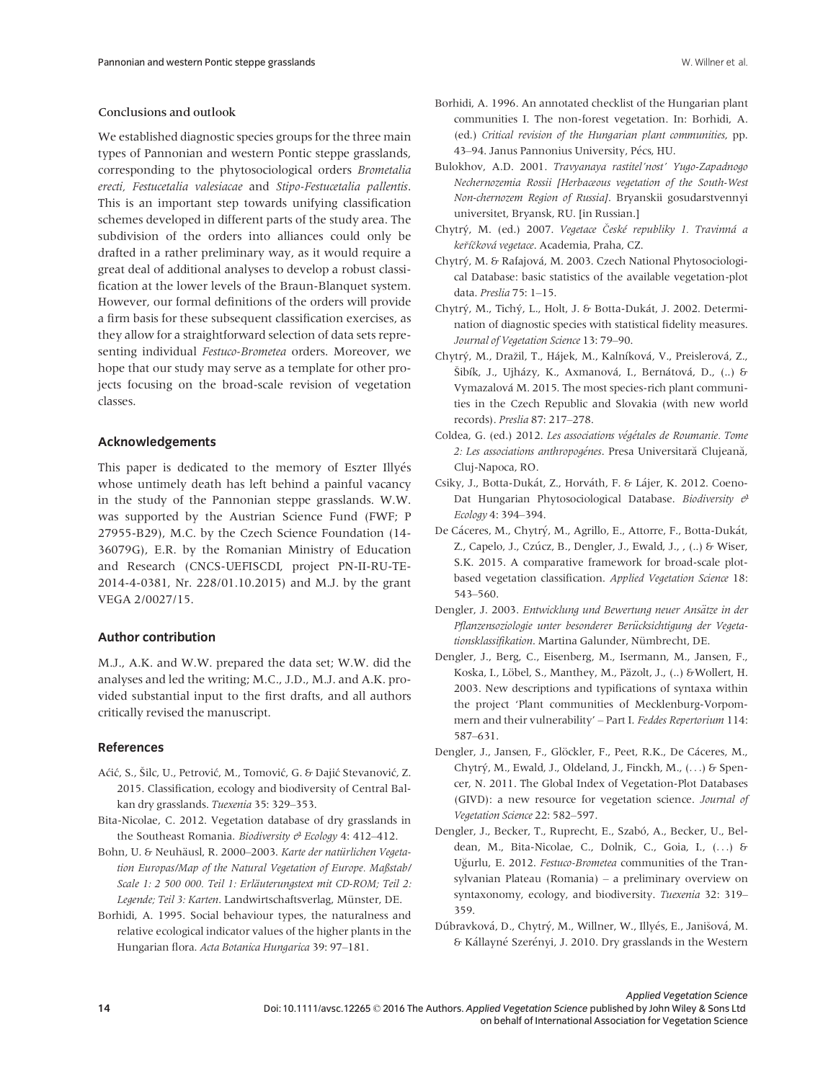## Conclusions and outlook

We established diagnostic species groups for the three main types of Pannonian and western Pontic steppe grasslands, corresponding to the phytosociological orders Brometalia erecti, Festucetalia valesiacae and Stipo-Festucetalia pallentis. This is an important step towards unifying classification schemes developed in different parts of the study area. The subdivision of the orders into alliances could only be drafted in a rather preliminary way, as it would require a great deal of additional analyses to develop a robust classification at the lower levels of the Braun-Blanquet system. However, our formal definitions of the orders will provide a firm basis for these subsequent classification exercises, as they allow for a straightforward selection of data sets representing individual Festuco-Brometea orders. Moreover, we hope that our study may serve as a template for other projects focusing on the broad-scale revision of vegetation classes.

## Acknowledgements

This paper is dedicated to the memory of Eszter Illyés whose untimely death has left behind a painful vacancy in the study of the Pannonian steppe grasslands. W.W. was supported by the Austrian Science Fund (FWF; P 27955-B29), M.C. by the Czech Science Foundation (14- 36079G), E.R. by the Romanian Ministry of Education and Research (CNCS-UEFISCDI, project PN-II-RU-TE-2014-4-0381, Nr. 228/01.10.2015) and M.J. by the grant VEGA 2/0027/15.

#### Author contribution

M.J., A.K. and W.W. prepared the data set; W.W. did the analyses and led the writing; M.C., J.D., M.J. and A.K. provided substantial input to the first drafts, and all authors critically revised the manuscript.

## References

- Aćić, S., Šilc, U., Petrović, M., Tomović, G. & Dajić Stevanović, Z. 2015. Classification, ecology and biodiversity of Central Balkan dry grasslands. Tuexenia 35: 329–353.
- Bita-Nicolae, C. 2012. Vegetation database of dry grasslands in the Southeast Romania. Biodiversity  $\mathcal O$  Ecology 4: 412–412.
- Bohn, U. & Neuhäusl, R. 2000–2003. Karte der natürlichen Vegetation Europas/Map of the Natural Vegetation of Europe. Maßstab/ Scale 1: 2 500 000. Teil 1: Erläuterungstext mit CD-ROM; Teil 2: Legende; Teil 3: Karten. Landwirtschaftsverlag, Münster, DE.
- Borhidi, A. 1995. Social behaviour types, the naturalness and relative ecological indicator values of the higher plants in the Hungarian flora. Acta Botanica Hungarica 39: 97–181.
- Borhidi, A. 1996. An annotated checklist of the Hungarian plant communities I. The non-forest vegetation. In: Borhidi, A. (ed.) Critical revision of the Hungarian plant communities, pp. 43–94. Janus Pannonius University, Pécs, HU.
- Bulokhov, A.D. 2001. Travyanaya rastitel'nost' Yugo-Zapadnogo Nechernozemia Rossii [Herbaceous vegetation of the South-West Non-chernozem Region of Russia]. Bryanskii gosudarstvennyi universitet, Bryansk, RU. [in Russian.]
- Chytrý, M. (ed.) 2007. Vegetace České republiky 1. Travinná a *keříčková vegetace.* Academia, Praha, CZ.
- Chytrý, M. & Rafajová, M. 2003. Czech National Phytosociological Database: basic statistics of the available vegetation-plot data. Preslia 75: 1–15.
- Chytrý, M., Tichý, L., Holt, J. & Botta-Dukát, J. 2002. Determination of diagnostic species with statistical fidelity measures. Journal of Vegetation Science 13: 79–90.
- Chytrý, M., Dražil, T., Hájek, M., Kalníková, V., Preislerová, Z., Šibík, J., Ujházy, K., Axmanová, I., Bernátová, D., (..) & Vymazalová M. 2015. The most species-rich plant communities in the Czech Republic and Slovakia (with new world records). Preslia 87: 217–278.
- Coldea, G. (ed.) 2012. Les associations végétales de Roumanie. Tome 2: Les associations anthropogénes. Presa Universitară Clujeană, Cluj-Napoca, RO.
- Csiky, J., Botta-Dukát, Z., Horváth, F. & Lájer, K. 2012. Coeno-Dat Hungarian Phytosociological Database. Biodiversity  $\mathcal{O}$ Ecology 4: 394–394.
- De Cáceres, M., Chytrý, M., Agrillo, E., Attorre, F., Botta-Dukát, Z., Capelo, J., Czúcz, B., Dengler, J., Ewald, J., , (..) & Wiser, S.K. 2015. A comparative framework for broad-scale plotbased vegetation classification. Applied Vegetation Science 18: 543–560.
- Dengler, J. 2003. Entwicklung und Bewertung neuer Ansätze in der Pflanzensoziologie unter besonderer Berücksichtigung der Vegetationsklassifikation. Martina Galunder, Nümbrecht, DE.
- Dengler, J., Berg, C., Eisenberg, M., Isermann, M., Jansen, F., Koska, I., Löbel, S., Manthey, M., Päzolt, J., (..) & Wollert, H. 2003. New descriptions and typifications of syntaxa within the project 'Plant communities of Mecklenburg-Vorpommern and their vulnerability' – Part I. Feddes Repertorium 114: 587–631.
- Dengler, J., Jansen, F., Glöckler, F., Peet, R.K., De Cáceres, M., Chytrý, M., Ewald, J., Oldeland, J., Finckh, M., (...) & Spencer, N. 2011. The Global Index of Vegetation-Plot Databases (GIVD): a new resource for vegetation science. Journal of Vegetation Science 22: 582–597.
- Dengler, J., Becker, T., Ruprecht, E., Szabó, A., Becker, U., Beldean, M., Bita-Nicolae, C., Dolnik, C., Goia, I., (...) & Uğurlu, E. 2012. Festuco-Brometea communities of the Transylvanian Plateau (Romania) – a preliminary overview on syntaxonomy, ecology, and biodiversity. Tuexenia 32: 319– 359.
- Dúbravková, D., Chytrý, M., Willner, W., Illyés, E., Janišová, M. & Kállayné Szerényi, J. 2010. Dry grasslands in the Western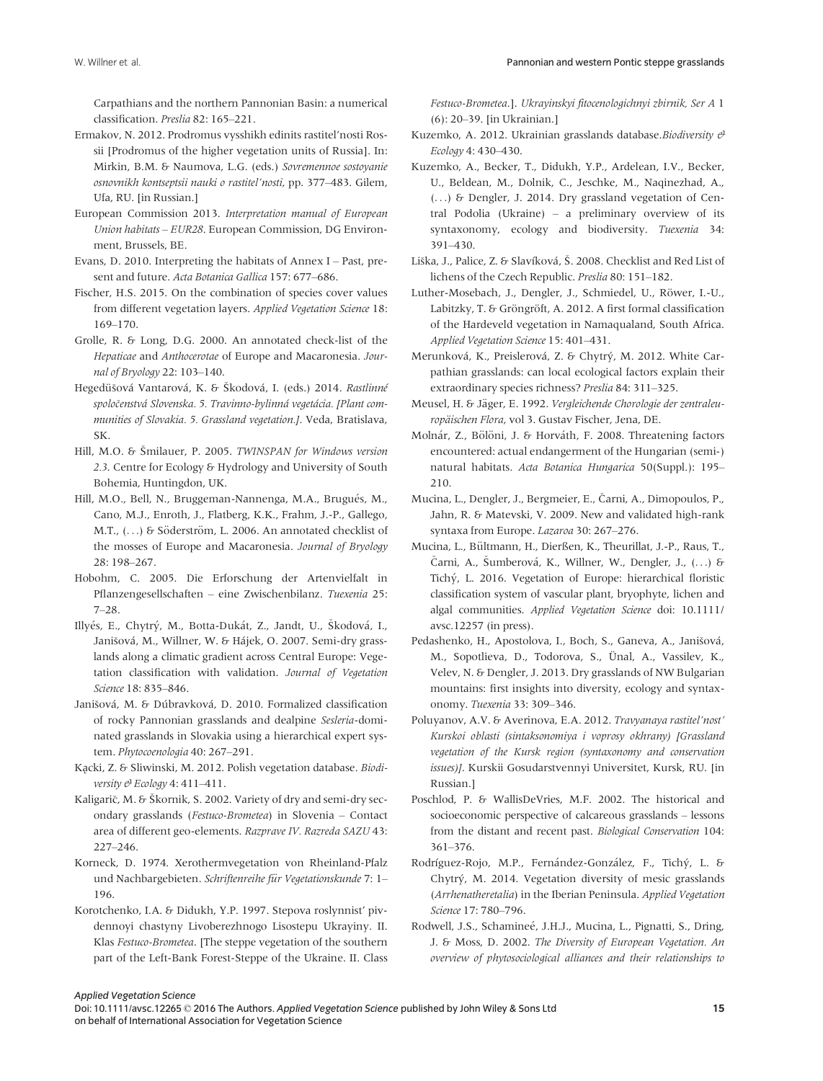Carpathians and the northern Pannonian Basin: a numerical classification. Preslia 82: 165–221.

- Ermakov, N. 2012. Prodromus vysshikh edinits rastitel'nosti Rossii [Prodromus of the higher vegetation units of Russia]. In: Mirkin, B.M. & Naumova, L.G. (eds.) Sovremennoe sostoyanie osnovnikh kontseptsii nauki o rastitel'nosti, pp. 377–483. Gilem, Ufa, RU. [in Russian.]
- European Commission 2013. Interpretation manual of European Union habitats – EUR28. European Commission, DG Environment, Brussels, BE.
- Evans, D. 2010. Interpreting the habitats of Annex I Past, present and future. Acta Botanica Gallica 157: 677–686.
- Fischer, H.S. 2015. On the combination of species cover values from different vegetation layers. Applied Vegetation Science 18: 169–170.
- Grolle, R. & Long, D.G. 2000. An annotated check-list of the Hepaticae and Anthocerotae of Europe and Macaronesia. Journal of Bryology 22: 103–140.
- Hegedüšová Vantarová, K. & Škodová, I. (eds.) 2014. Rastlinné spoločenstvá Slovenska. 5. Travinno-bylinná vegetácia. [Plant communities of Slovakia. 5. Grassland vegetation.]. Veda, Bratislava, SK.
- Hill, M.O. & Smilauer, P. 2005. TWINSPAN for Windows version 2.3. Centre for Ecology & Hydrology and University of South Bohemia, Huntingdon, UK.
- Hill, M.O., Bell, N., Bruggeman-Nannenga, M.A., Brugués, M., Cano, M.J., Enroth, J., Flatberg, K.K., Frahm, J.-P., Gallego, M.T., (...) & Söderström, L. 2006. An annotated checklist of the mosses of Europe and Macaronesia. Journal of Bryology 28: 198–267.
- Hobohm, C. 2005. Die Erforschung der Artenvielfalt in Pflanzengesellschaften – eine Zwischenbilanz. Tuexenia 25: 7–28.
- Illyés, E., Chytrý, M., Botta-Dukát, Z., Jandt, U., Škodová, I., Janišová, M., Willner, W. & Hájek, O. 2007. Semi-dry grasslands along a climatic gradient across Central Europe: Vegetation classification with validation. Journal of Vegetation Science 18: 835–846.
- Janišová, M. & Dúbravková, D. 2010. Formalized classification of rocky Pannonian grasslands and dealpine Sesleria-dominated grasslands in Slovakia using a hierarchical expert system. Phytocoenologia 40: 267–291.
- Kazcki, Z. & Sliwinski, M. 2012. Polish vegetation database. Biodiversity  $e^y$  Ecology 4: 411-411.
- Kaligarič, M. & Škornik, S. 2002. Variety of dry and semi-dry secondary grasslands (Festuco-Brometea) in Slovenia – Contact area of different geo-elements. Razprave IV. Razreda SAZU 43: 227–246.
- Korneck, D. 1974. Xerothermvegetation von Rheinland-Pfalz und Nachbargebieten. Schriftenreihe für Vegetationskunde 7: 1-196.
- Korotchenko, I.A. & Didukh, Y.P. 1997. Stepova roslynnist' pivdennoyi chastyny Livoberezhnogo Lisostepu Ukrayiny. II. Klas Festuco-Brometea. [The steppe vegetation of the southern part of the Left-Bank Forest-Steppe of the Ukraine. II. Class

Festuco-Brometea.]. Ukrayinskyi fitocenologichnyi zbirnik, Ser A 1 (6): 20–39. [in Ukrainian.]

- Kuzemko, A. 2012. Ukrainian grasslands database. Biodiversity  $\vartheta$ Ecology 4: 430–430.
- Kuzemko, A., Becker, T., Didukh, Y.P., Ardelean, I.V., Becker, U., Beldean, M., Dolnik, C., Jeschke, M., Naqinezhad, A., (...) & Dengler, J. 2014. Dry grassland vegetation of Central Podolia (Ukraine) – a preliminary overview of its syntaxonomy, ecology and biodiversity. Tuexenia 34: 391–430.
- Liška, J., Palice, Z. & Slavíková, Š. 2008. Checklist and Red List of lichens of the Czech Republic. Preslia 80: 151–182.
- Luther-Mosebach, J., Dengler, J., Schmiedel, U., Röwer, I.-U., Labitzky, T. & Gröngröft, A. 2012. A first formal classification of the Hardeveld vegetation in Namaqualand, South Africa. Applied Vegetation Science 15: 401–431.
- Merunková, K., Preislerová, Z. & Chytrý, M. 2012. White Carpathian grasslands: can local ecological factors explain their extraordinary species richness? Preslia 84: 311–325.
- Meusel, H. & Jäger, E. 1992. Vergleichende Chorologie der zentraleuropäischen Flora, vol 3. Gustav Fischer, Jena, DE.
- Molnár, Z., Bölöni, J. & Horváth, F. 2008. Threatening factors encountered: actual endangerment of the Hungarian (semi-) natural habitats. Acta Botanica Hungarica 50(Suppl.): 195– 210.
- Mucina, L., Dengler, J., Bergmeier, E., Carni, A., Dimopoulos, P., Jahn, R. & Matevski, V. 2009. New and validated high-rank syntaxa from Europe. Lazaroa 30: 267–276.
- Mucina, L., Bültmann, H., Dierßen, K., Theurillat, J.-P., Raus, T., Čarni, A., Šumberová, K., Willner, W., Dengler, J., (...) & Tichý, L. 2016. Vegetation of Europe: hierarchical floristic classification system of vascular plant, bryophyte, lichen and algal communities. Applied Vegetation Science doi: [10.1111/](http://dx.doi.org/10.1111/avsc.12257) [avsc.12257](http://dx.doi.org/10.1111/avsc.12257) (in press).
- Pedashenko, H., Apostolova, I., Boch, S., Ganeva, A., Janišová, M., Sopotlieva, D., Todorova, S., Ünal, A., Vassilev, K., Velev, N. & Dengler, J. 2013. Dry grasslands of NW Bulgarian mountains: first insights into diversity, ecology and syntaxonomy. Tuexenia 33: 309–346.
- Poluyanov, A.V. & Averinova, E.A. 2012. Travyanaya rastitel'nost' Kurskoi oblasti (sintaksonomiya i voprosy okhrany) [Grassland vegetation of the Kursk region (syntaxonomy and conservation issues)]. Kurskii Gosudarstvennyi Universitet, Kursk, RU. [in Russian.]
- Poschlod, P. & WallisDeVries, M.F. 2002. The historical and socioeconomic perspective of calcareous grasslands – lessons from the distant and recent past. Biological Conservation 104: 361–376.
- Rodríguez-Rojo, M.P., Fernández-González, F., Tichý, L. & Chytrý, M. 2014. Vegetation diversity of mesic grasslands (Arrhenatheretalia) in the Iberian Peninsula. Applied Vegetation Science 17: 780–796.
- Rodwell, J.S., Schamineé, J.H.J., Mucina, L., Pignatti, S., Dring, J. & Moss, D. 2002. The Diversity of European Vegetation. An overview of phytosociological alliances and their relationships to

Applied Vegetation Science

Doi: 10.1111/avsc.12265 © 2016 The Authors. Applied Vegetation Science published by John Wiley & Sons Ltd on behalf of International Association for Vegetation Science